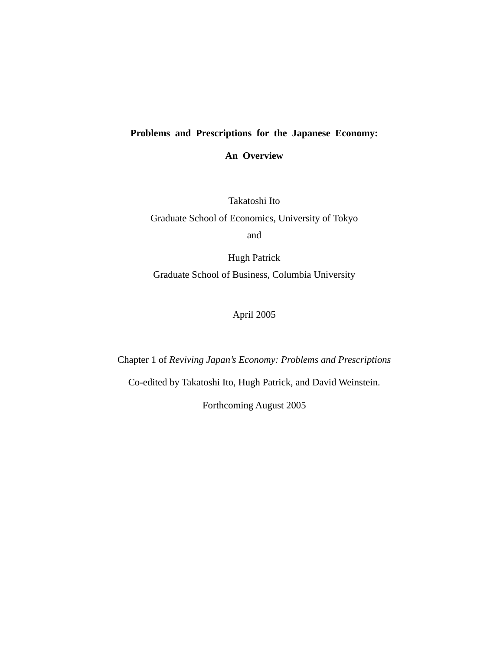# **Problems and Prescriptions for the Japanese Economy:**

**An Overview**

Takatoshi Ito

Graduate School of Economics, University of Tokyo and

Hugh Patrick Graduate School of Business, Columbia University

April 2005

Chapter 1 of *Reviving Japan's Economy: Problems and Prescriptions* 

Co-edited by Takatoshi Ito, Hugh Patrick, and David Weinstein.

Forthcoming August 2005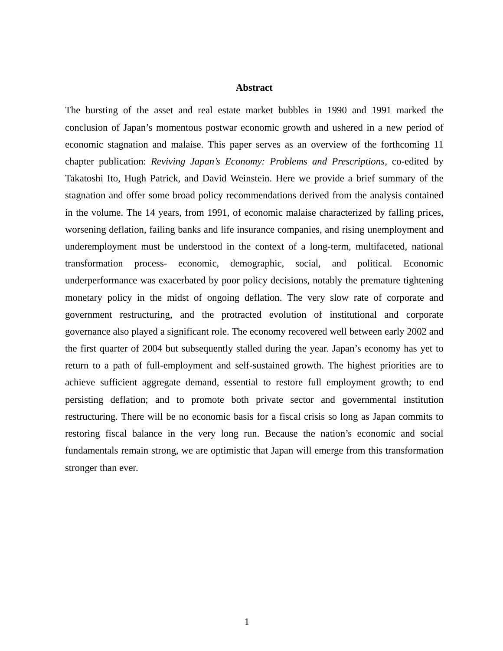# **Abstract**

The bursting of the asset and real estate market bubbles in 1990 and 1991 marked the conclusion of Japan's momentous postwar economic growth and ushered in a new period of economic stagnation and malaise. This paper serves as an overview of the forthcoming 11 chapter publication: *Reviving Japan's Economy: Problems and Prescriptions*, co-edited by Takatoshi Ito, Hugh Patrick, and David Weinstein. Here we provide a brief summary of the stagnation and offer some broad policy recommendations derived from the analysis contained in the volume. The 14 years, from 1991, of economic malaise characterized by falling prices, worsening deflation, failing banks and life insurance companies, and rising unemployment and underemployment must be understood in the context of a long-term, multifaceted, national transformation process- economic, demographic, social, and political. Economic underperformance was exacerbated by poor policy decisions, notably the premature tightening monetary policy in the midst of ongoing deflation. The very slow rate of corporate and government restructuring, and the protracted evolution of institutional and corporate governance also played a significant role. The economy recovered well between early 2002 and the first quarter of 2004 but subsequently stalled during the year. Japan's economy has yet to return to a path of full-employment and self-sustained growth. The highest priorities are to achieve sufficient aggregate demand, essential to restore full employment growth; to end persisting deflation; and to promote both private sector and governmental institution restructuring. There will be no economic basis for a fiscal crisis so long as Japan commits to restoring fiscal balance in the very long run. Because the nation's economic and social fundamentals remain strong, we are optimistic that Japan will emerge from this transformation stronger than ever.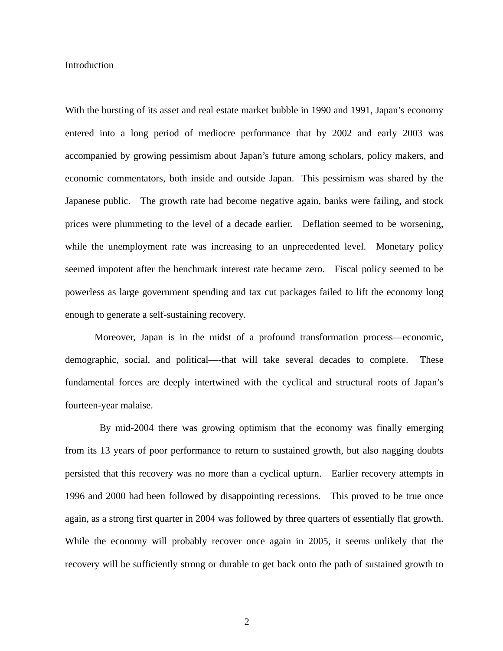Introduction

With the bursting of its asset and real estate market bubble in 1990 and 1991, Japan's economy entered into a long period of mediocre performance that by 2002 and early 2003 was accompanied by growing pessimism about Japan's future among scholars, policy makers, and economic commentators, both inside and outside Japan. This pessimism was shared by the Japanese public. The growth rate had become negative again, banks were failing, and stock prices were plummeting to the level of a decade earlier. Deflation seemed to be worsening, while the unemployment rate was increasing to an unprecedented level. Monetary policy seemed impotent after the benchmark interest rate became zero. Fiscal policy seemed to be powerless as large government spending and tax cut packages failed to lift the economy long enough to generate a self-sustaining recovery.

Moreover, Japan is in the midst of a profound transformation process—economic, demographic, social, and political—-that will take several decades to complete. These fundamental forces are deeply intertwined with the cyclical and structural roots of Japan's fourteen-year malaise.

By mid-2004 there was growing optimism that the economy was finally emerging from its 13 years of poor performance to return to sustained growth, but also nagging doubts persisted that this recovery was no more than a cyclical upturn. Earlier recovery attempts in 1996 and 2000 had been followed by disappointing recessions. This proved to be true once again, as a strong first quarter in 2004 was followed by three quarters of essentially flat growth. While the economy will probably recover once again in 2005, it seems unlikely that the recovery will be sufficiently strong or durable to get back onto the path of sustained growth to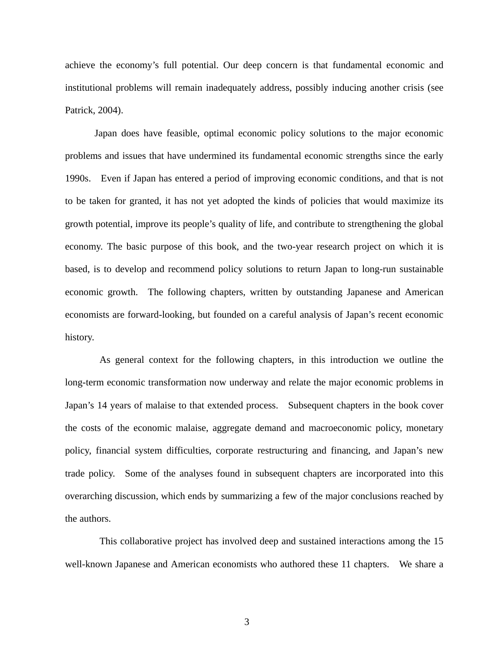achieve the economy's full potential. Our deep concern is that fundamental economic and institutional problems will remain inadequately address, possibly inducing another crisis (see Patrick, 2004).

Japan does have feasible, optimal economic policy solutions to the major economic problems and issues that have undermined its fundamental economic strengths since the early 1990s. Even if Japan has entered a period of improving economic conditions, and that is not to be taken for granted, it has not yet adopted the kinds of policies that would maximize its growth potential, improve its people's quality of life, and contribute to strengthening the global economy. The basic purpose of this book, and the two-year research project on which it is based, is to develop and recommend policy solutions to return Japan to long-run sustainable economic growth. The following chapters, written by outstanding Japanese and American economists are forward-looking, but founded on a careful analysis of Japan's recent economic history.

As general context for the following chapters, in this introduction we outline the long-term economic transformation now underway and relate the major economic problems in Japan's 14 years of malaise to that extended process. Subsequent chapters in the book cover the costs of the economic malaise, aggregate demand and macroeconomic policy, monetary policy, financial system difficulties, corporate restructuring and financing, and Japan's new trade policy. Some of the analyses found in subsequent chapters are incorporated into this overarching discussion, which ends by summarizing a few of the major conclusions reached by the authors.

This collaborative project has involved deep and sustained interactions among the 15 well-known Japanese and American economists who authored these 11 chapters. We share a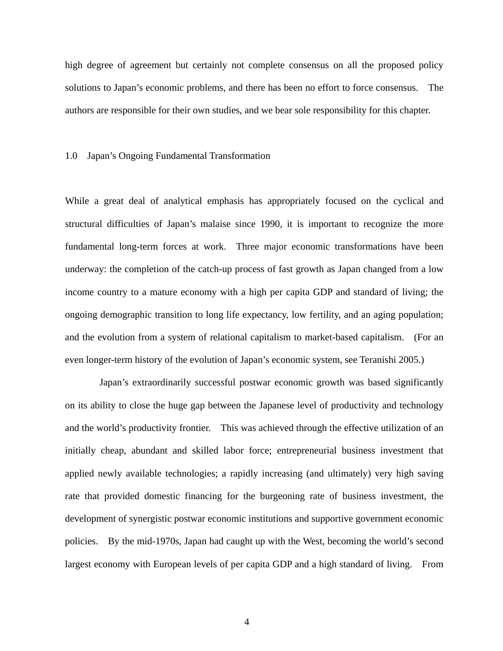high degree of agreement but certainly not complete consensus on all the proposed policy solutions to Japan's economic problems, and there has been no effort to force consensus. The authors are responsible for their own studies, and we bear sole responsibility for this chapter.

# 1.0 Japan's Ongoing Fundamental Transformation

While a great deal of analytical emphasis has appropriately focused on the cyclical and structural difficulties of Japan's malaise since 1990, it is important to recognize the more fundamental long-term forces at work. Three major economic transformations have been underway: the completion of the catch-up process of fast growth as Japan changed from a low income country to a mature economy with a high per capita GDP and standard of living; the ongoing demographic transition to long life expectancy, low fertility, and an aging population; and the evolution from a system of relational capitalism to market-based capitalism. (For an even longer-term history of the evolution of Japan's economic system, see Teranishi 2005.)

Japan's extraordinarily successful postwar economic growth was based significantly on its ability to close the huge gap between the Japanese level of productivity and technology and the world's productivity frontier. This was achieved through the effective utilization of an initially cheap, abundant and skilled labor force; entrepreneurial business investment that applied newly available technologies; a rapidly increasing (and ultimately) very high saving rate that provided domestic financing for the burgeoning rate of business investment, the development of synergistic postwar economic institutions and supportive government economic policies. By the mid-1970s, Japan had caught up with the West, becoming the world's second largest economy with European levels of per capita GDP and a high standard of living. From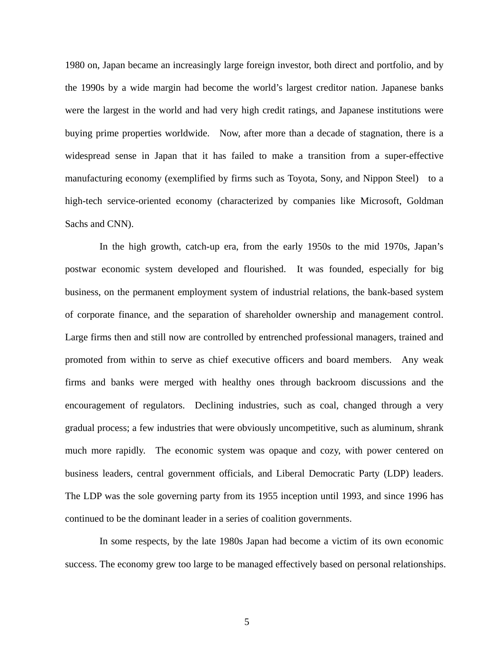1980 on, Japan became an increasingly large foreign investor, both direct and portfolio, and by the 1990s by a wide margin had become the world's largest creditor nation. Japanese banks were the largest in the world and had very high credit ratings, and Japanese institutions were buying prime properties worldwide. Now, after more than a decade of stagnation, there is a widespread sense in Japan that it has failed to make a transition from a super-effective manufacturing economy (exemplified by firms such as Toyota, Sony, and Nippon Steel) to a high-tech service-oriented economy (characterized by companies like Microsoft, Goldman Sachs and CNN).

In the high growth, catch-up era, from the early 1950s to the mid 1970s, Japan's postwar economic system developed and flourished. It was founded, especially for big business, on the permanent employment system of industrial relations, the bank-based system of corporate finance, and the separation of shareholder ownership and management control. Large firms then and still now are controlled by entrenched professional managers, trained and promoted from within to serve as chief executive officers and board members. Any weak firms and banks were merged with healthy ones through backroom discussions and the encouragement of regulators. Declining industries, such as coal, changed through a very gradual process; a few industries that were obviously uncompetitive, such as aluminum, shrank much more rapidly. The economic system was opaque and cozy, with power centered on business leaders, central government officials, and Liberal Democratic Party (LDP) leaders. The LDP was the sole governing party from its 1955 inception until 1993, and since 1996 has continued to be the dominant leader in a series of coalition governments.

In some respects, by the late 1980s Japan had become a victim of its own economic success. The economy grew too large to be managed effectively based on personal relationships.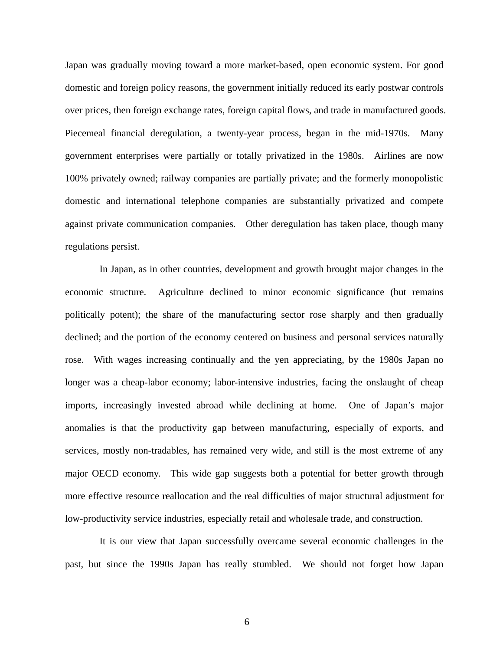Japan was gradually moving toward a more market-based, open economic system. For good domestic and foreign policy reasons, the government initially reduced its early postwar controls over prices, then foreign exchange rates, foreign capital flows, and trade in manufactured goods. Piecemeal financial deregulation, a twenty-year process, began in the mid-1970s. Many government enterprises were partially or totally privatized in the 1980s. Airlines are now 100% privately owned; railway companies are partially private; and the formerly monopolistic domestic and international telephone companies are substantially privatized and compete against private communication companies. Other deregulation has taken place, though many regulations persist.

In Japan, as in other countries, development and growth brought major changes in the economic structure. Agriculture declined to minor economic significance (but remains politically potent); the share of the manufacturing sector rose sharply and then gradually declined; and the portion of the economy centered on business and personal services naturally rose. With wages increasing continually and the yen appreciating, by the 1980s Japan no longer was a cheap-labor economy; labor-intensive industries, facing the onslaught of cheap imports, increasingly invested abroad while declining at home. One of Japan's major anomalies is that the productivity gap between manufacturing, especially of exports, and services, mostly non-tradables, has remained very wide, and still is the most extreme of any major OECD economy. This wide gap suggests both a potential for better growth through more effective resource reallocation and the real difficulties of major structural adjustment for low-productivity service industries, especially retail and wholesale trade, and construction.

It is our view that Japan successfully overcame several economic challenges in the past, but since the 1990s Japan has really stumbled. We should not forget how Japan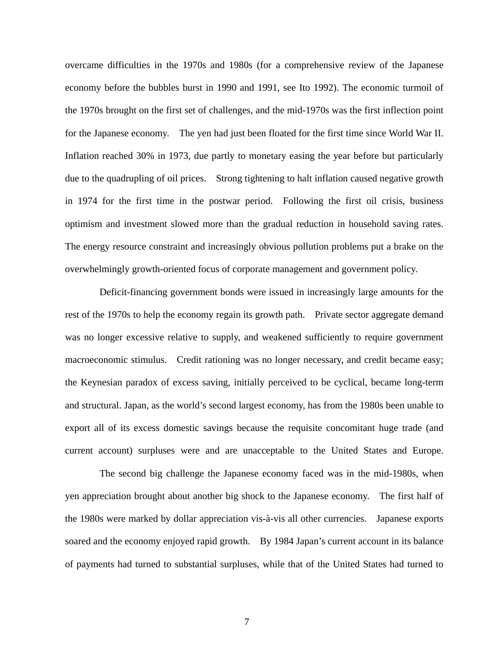overcame difficulties in the 1970s and 1980s (for a comprehensive review of the Japanese economy before the bubbles burst in 1990 and 1991, see Ito 1992). The economic turmoil of the 1970s brought on the first set of challenges, and the mid-1970s was the first inflection point for the Japanese economy. The yen had just been floated for the first time since World War II. Inflation reached 30% in 1973, due partly to monetary easing the year before but particularly due to the quadrupling of oil prices. Strong tightening to halt inflation caused negative growth in 1974 for the first time in the postwar period. Following the first oil crisis, business optimism and investment slowed more than the gradual reduction in household saving rates. The energy resource constraint and increasingly obvious pollution problems put a brake on the overwhelmingly growth-oriented focus of corporate management and government policy.

 Deficit-financing government bonds were issued in increasingly large amounts for the rest of the 1970s to help the economy regain its growth path. Private sector aggregate demand was no longer excessive relative to supply, and weakened sufficiently to require government macroeconomic stimulus. Credit rationing was no longer necessary, and credit became easy; the Keynesian paradox of excess saving, initially perceived to be cyclical, became long-term and structural. Japan, as the world's second largest economy, has from the 1980s been unable to export all of its excess domestic savings because the requisite concomitant huge trade (and current account) surpluses were and are unacceptable to the United States and Europe.

The second big challenge the Japanese economy faced was in the mid-1980s, when yen appreciation brought about another big shock to the Japanese economy. The first half of the 1980s were marked by dollar appreciation vis-à-vis all other currencies. Japanese exports soared and the economy enjoyed rapid growth. By 1984 Japan's current account in its balance of payments had turned to substantial surpluses, while that of the United States had turned to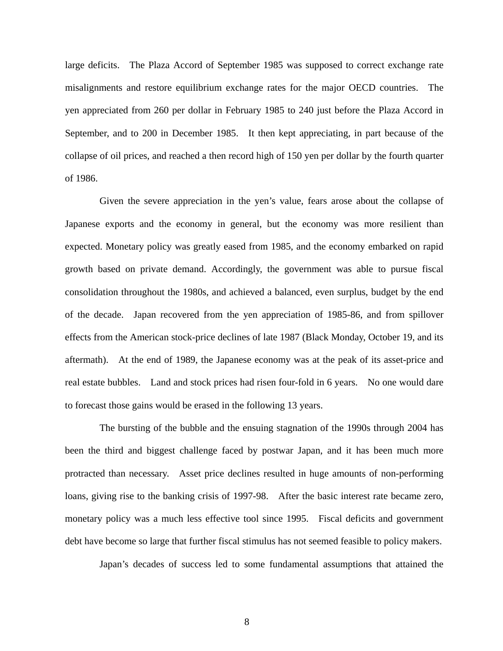large deficits. The Plaza Accord of September 1985 was supposed to correct exchange rate misalignments and restore equilibrium exchange rates for the major OECD countries. The yen appreciated from 260 per dollar in February 1985 to 240 just before the Plaza Accord in September, and to 200 in December 1985. It then kept appreciating, in part because of the collapse of oil prices, and reached a then record high of 150 yen per dollar by the fourth quarter of 1986.

Given the severe appreciation in the yen's value, fears arose about the collapse of Japanese exports and the economy in general, but the economy was more resilient than expected. Monetary policy was greatly eased from 1985, and the economy embarked on rapid growth based on private demand. Accordingly, the government was able to pursue fiscal consolidation throughout the 1980s, and achieved a balanced, even surplus, budget by the end of the decade. Japan recovered from the yen appreciation of 1985-86, and from spillover effects from the American stock-price declines of late 1987 (Black Monday, October 19, and its aftermath). At the end of 1989, the Japanese economy was at the peak of its asset-price and real estate bubbles. Land and stock prices had risen four-fold in 6 years. No one would dare to forecast those gains would be erased in the following 13 years.

The bursting of the bubble and the ensuing stagnation of the 1990s through 2004 has been the third and biggest challenge faced by postwar Japan, and it has been much more protracted than necessary. Asset price declines resulted in huge amounts of non-performing loans, giving rise to the banking crisis of 1997-98. After the basic interest rate became zero, monetary policy was a much less effective tool since 1995. Fiscal deficits and government debt have become so large that further fiscal stimulus has not seemed feasible to policy makers.

Japan's decades of success led to some fundamental assumptions that attained the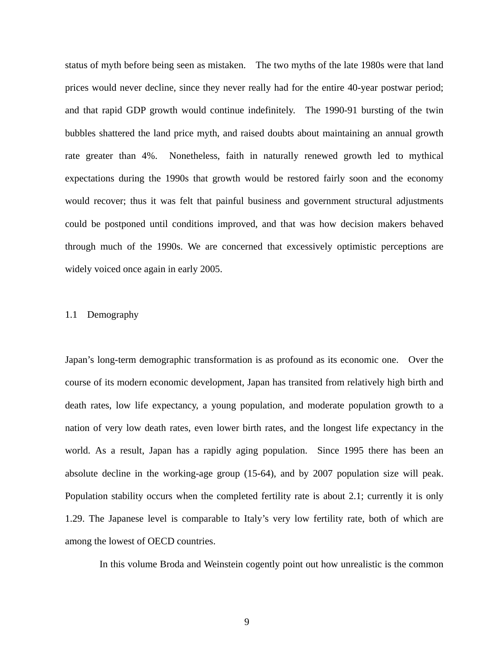status of myth before being seen as mistaken. The two myths of the late 1980s were that land prices would never decline, since they never really had for the entire 40-year postwar period; and that rapid GDP growth would continue indefinitely. The 1990-91 bursting of the twin bubbles shattered the land price myth, and raised doubts about maintaining an annual growth rate greater than 4%. Nonetheless, faith in naturally renewed growth led to mythical expectations during the 1990s that growth would be restored fairly soon and the economy would recover; thus it was felt that painful business and government structural adjustments could be postponed until conditions improved, and that was how decision makers behaved through much of the 1990s. We are concerned that excessively optimistic perceptions are widely voiced once again in early 2005.

## 1.1 Demography

Japan's long-term demographic transformation is as profound as its economic one. Over the course of its modern economic development, Japan has transited from relatively high birth and death rates, low life expectancy, a young population, and moderate population growth to a nation of very low death rates, even lower birth rates, and the longest life expectancy in the world. As a result, Japan has a rapidly aging population. Since 1995 there has been an absolute decline in the working-age group (15-64), and by 2007 population size will peak. Population stability occurs when the completed fertility rate is about 2.1; currently it is only 1.29. The Japanese level is comparable to Italy's very low fertility rate, both of which are among the lowest of OECD countries.

In this volume Broda and Weinstein cogently point out how unrealistic is the common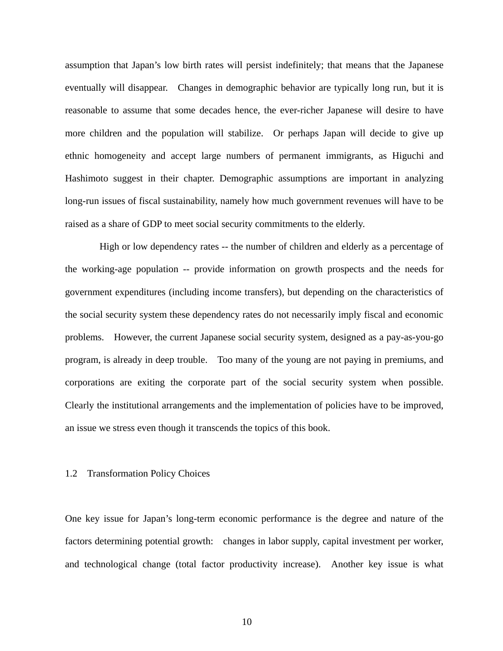assumption that Japan's low birth rates will persist indefinitely; that means that the Japanese eventually will disappear. Changes in demographic behavior are typically long run, but it is reasonable to assume that some decades hence, the ever-richer Japanese will desire to have more children and the population will stabilize. Or perhaps Japan will decide to give up ethnic homogeneity and accept large numbers of permanent immigrants, as Higuchi and Hashimoto suggest in their chapter. Demographic assumptions are important in analyzing long-run issues of fiscal sustainability, namely how much government revenues will have to be raised as a share of GDP to meet social security commitments to the elderly.

High or low dependency rates -- the number of children and elderly as a percentage of the working-age population -- provide information on growth prospects and the needs for government expenditures (including income transfers), but depending on the characteristics of the social security system these dependency rates do not necessarily imply fiscal and economic problems. However, the current Japanese social security system, designed as a pay-as-you-go program, is already in deep trouble. Too many of the young are not paying in premiums, and corporations are exiting the corporate part of the social security system when possible. Clearly the institutional arrangements and the implementation of policies have to be improved, an issue we stress even though it transcends the topics of this book.

#### 1.2 Transformation Policy Choices

One key issue for Japan's long-term economic performance is the degree and nature of the factors determining potential growth: changes in labor supply, capital investment per worker, and technological change (total factor productivity increase). Another key issue is what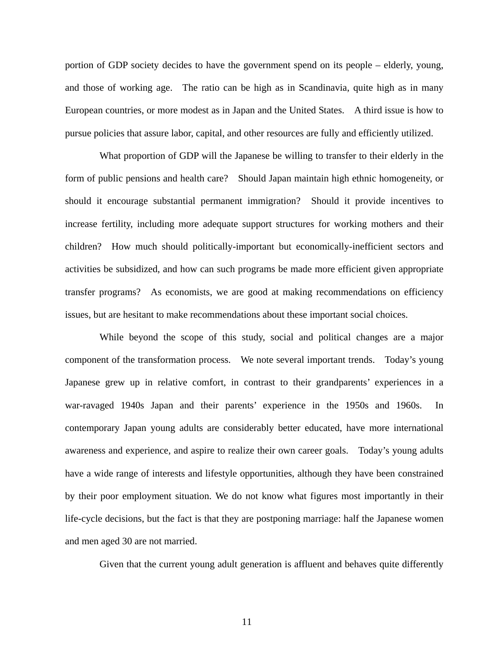portion of GDP society decides to have the government spend on its people – elderly, young, and those of working age. The ratio can be high as in Scandinavia, quite high as in many European countries, or more modest as in Japan and the United States. A third issue is how to pursue policies that assure labor, capital, and other resources are fully and efficiently utilized.

What proportion of GDP will the Japanese be willing to transfer to their elderly in the form of public pensions and health care? Should Japan maintain high ethnic homogeneity, or should it encourage substantial permanent immigration? Should it provide incentives to increase fertility, including more adequate support structures for working mothers and their children? How much should politically-important but economically-inefficient sectors and activities be subsidized, and how can such programs be made more efficient given appropriate transfer programs? As economists, we are good at making recommendations on efficiency issues, but are hesitant to make recommendations about these important social choices.

While beyond the scope of this study, social and political changes are a major component of the transformation process. We note several important trends. Today's young Japanese grew up in relative comfort, in contrast to their grandparents' experiences in a war-ravaged 1940s Japan and their parents' experience in the 1950s and 1960s. In contemporary Japan young adults are considerably better educated, have more international awareness and experience, and aspire to realize their own career goals. Today's young adults have a wide range of interests and lifestyle opportunities, although they have been constrained by their poor employment situation. We do not know what figures most importantly in their life-cycle decisions, but the fact is that they are postponing marriage: half the Japanese women and men aged 30 are not married.

Given that the current young adult generation is affluent and behaves quite differently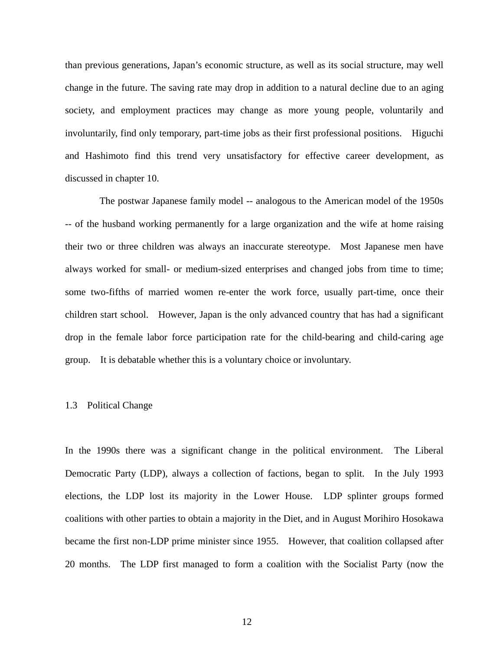than previous generations, Japan's economic structure, as well as its social structure, may well change in the future. The saving rate may drop in addition to a natural decline due to an aging society, and employment practices may change as more young people, voluntarily and involuntarily, find only temporary, part-time jobs as their first professional positions. Higuchi and Hashimoto find this trend very unsatisfactory for effective career development, as discussed in chapter 10.

The postwar Japanese family model -- analogous to the American model of the 1950s -- of the husband working permanently for a large organization and the wife at home raising their two or three children was always an inaccurate stereotype. Most Japanese men have always worked for small- or medium-sized enterprises and changed jobs from time to time; some two-fifths of married women re-enter the work force, usually part-time, once their children start school. However, Japan is the only advanced country that has had a significant drop in the female labor force participation rate for the child-bearing and child-caring age group. It is debatable whether this is a voluntary choice or involuntary.

#### 1.3 Political Change

In the 1990s there was a significant change in the political environment. The Liberal Democratic Party (LDP), always a collection of factions, began to split. In the July 1993 elections, the LDP lost its majority in the Lower House. LDP splinter groups formed coalitions with other parties to obtain a majority in the Diet, and in August Morihiro Hosokawa became the first non-LDP prime minister since 1955. However, that coalition collapsed after 20 months. The LDP first managed to form a coalition with the Socialist Party (now the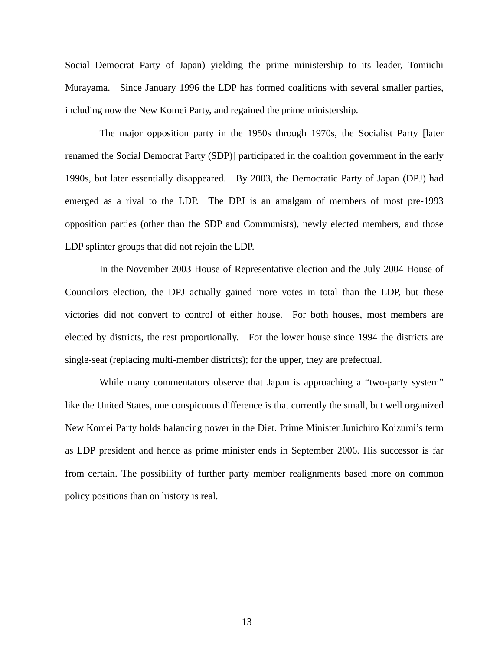Social Democrat Party of Japan) yielding the prime ministership to its leader, Tomiichi Murayama. Since January 1996 the LDP has formed coalitions with several smaller parties, including now the New Komei Party, and regained the prime ministership.

The major opposition party in the 1950s through 1970s, the Socialist Party [later renamed the Social Democrat Party (SDP)] participated in the coalition government in the early 1990s, but later essentially disappeared. By 2003, the Democratic Party of Japan (DPJ) had emerged as a rival to the LDP. The DPJ is an amalgam of members of most pre-1993 opposition parties (other than the SDP and Communists), newly elected members, and those LDP splinter groups that did not rejoin the LDP.

In the November 2003 House of Representative election and the July 2004 House of Councilors election, the DPJ actually gained more votes in total than the LDP, but these victories did not convert to control of either house. For both houses, most members are elected by districts, the rest proportionally. For the lower house since 1994 the districts are single-seat (replacing multi-member districts); for the upper, they are prefectual.

While many commentators observe that Japan is approaching a "two-party system" like the United States, one conspicuous difference is that currently the small, but well organized New Komei Party holds balancing power in the Diet. Prime Minister Junichiro Koizumi's term as LDP president and hence as prime minister ends in September 2006. His successor is far from certain. The possibility of further party member realignments based more on common policy positions than on history is real.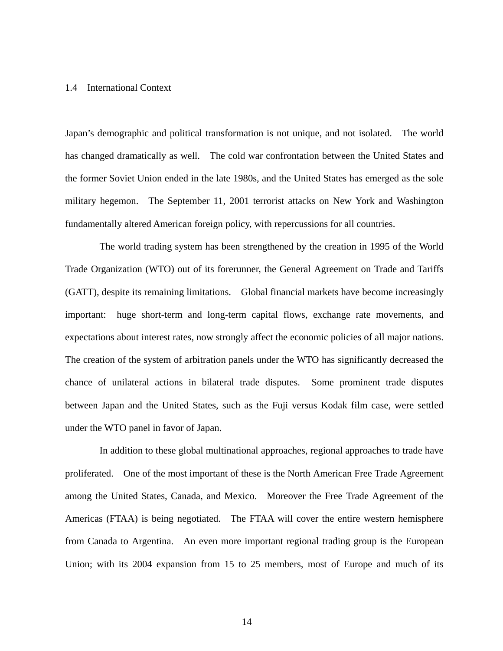## 1.4 International Context

Japan's demographic and political transformation is not unique, and not isolated. The world has changed dramatically as well. The cold war confrontation between the United States and the former Soviet Union ended in the late 1980s, and the United States has emerged as the sole military hegemon. The September 11, 2001 terrorist attacks on New York and Washington fundamentally altered American foreign policy, with repercussions for all countries.

The world trading system has been strengthened by the creation in 1995 of the World Trade Organization (WTO) out of its forerunner, the General Agreement on Trade and Tariffs (GATT), despite its remaining limitations. Global financial markets have become increasingly important: huge short-term and long-term capital flows, exchange rate movements, and expectations about interest rates, now strongly affect the economic policies of all major nations. The creation of the system of arbitration panels under the WTO has significantly decreased the chance of unilateral actions in bilateral trade disputes. Some prominent trade disputes between Japan and the United States, such as the Fuji versus Kodak film case, were settled under the WTO panel in favor of Japan.

In addition to these global multinational approaches, regional approaches to trade have proliferated. One of the most important of these is the North American Free Trade Agreement among the United States, Canada, and Mexico. Moreover the Free Trade Agreement of the Americas (FTAA) is being negotiated. The FTAA will cover the entire western hemisphere from Canada to Argentina. An even more important regional trading group is the European Union; with its 2004 expansion from 15 to 25 members, most of Europe and much of its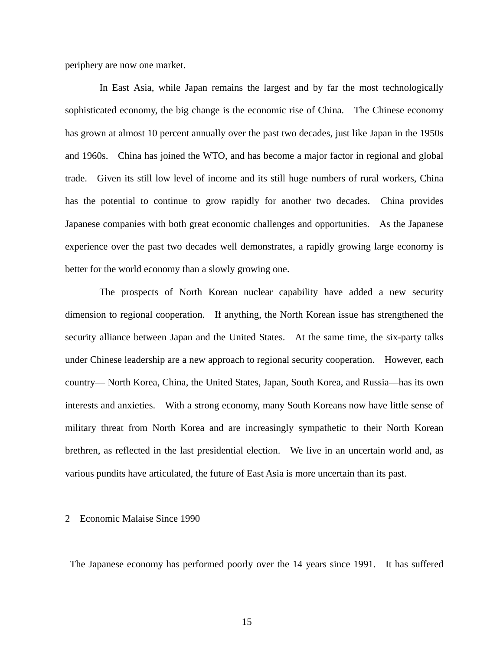periphery are now one market.

In East Asia, while Japan remains the largest and by far the most technologically sophisticated economy, the big change is the economic rise of China. The Chinese economy has grown at almost 10 percent annually over the past two decades, just like Japan in the 1950s and 1960s. China has joined the WTO, and has become a major factor in regional and global trade. Given its still low level of income and its still huge numbers of rural workers, China has the potential to continue to grow rapidly for another two decades. China provides Japanese companies with both great economic challenges and opportunities. As the Japanese experience over the past two decades well demonstrates, a rapidly growing large economy is better for the world economy than a slowly growing one.

The prospects of North Korean nuclear capability have added a new security dimension to regional cooperation. If anything, the North Korean issue has strengthened the security alliance between Japan and the United States. At the same time, the six-party talks under Chinese leadership are a new approach to regional security cooperation. However, each country— North Korea, China, the United States, Japan, South Korea, and Russia—has its own interests and anxieties. With a strong economy, many South Koreans now have little sense of military threat from North Korea and are increasingly sympathetic to their North Korean brethren, as reflected in the last presidential election. We live in an uncertain world and, as various pundits have articulated, the future of East Asia is more uncertain than its past.

## 2 Economic Malaise Since 1990

The Japanese economy has performed poorly over the 14 years since 1991. It has suffered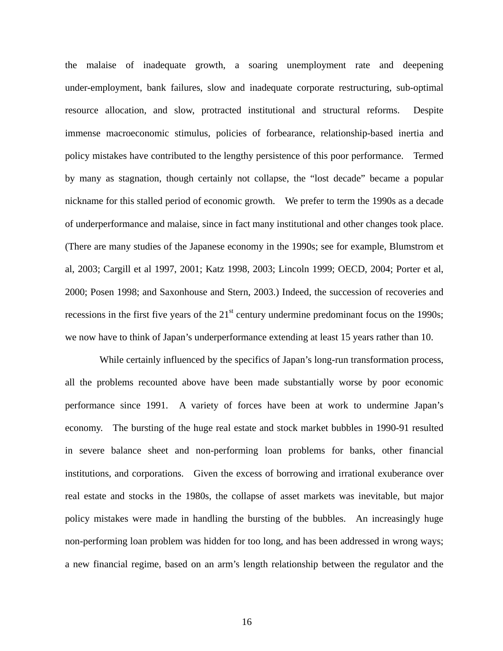the malaise of inadequate growth, a soaring unemployment rate and deepening under-employment, bank failures, slow and inadequate corporate restructuring, sub-optimal resource allocation, and slow, protracted institutional and structural reforms. Despite immense macroeconomic stimulus, policies of forbearance, relationship-based inertia and policy mistakes have contributed to the lengthy persistence of this poor performance. Termed by many as stagnation, though certainly not collapse, the "lost decade" became a popular nickname for this stalled period of economic growth. We prefer to term the 1990s as a decade of underperformance and malaise, since in fact many institutional and other changes took place. (There are many studies of the Japanese economy in the 1990s; see for example, Blumstrom et al, 2003; Cargill et al 1997, 2001; Katz 1998, 2003; Lincoln 1999; OECD, 2004; Porter et al, 2000; Posen 1998; and Saxonhouse and Stern, 2003.) Indeed, the succession of recoveries and recessions in the first five years of the  $21<sup>st</sup>$  century undermine predominant focus on the 1990s; we now have to think of Japan's underperformance extending at least 15 years rather than 10.

While certainly influenced by the specifics of Japan's long-run transformation process, all the problems recounted above have been made substantially worse by poor economic performance since 1991. A variety of forces have been at work to undermine Japan's economy. The bursting of the huge real estate and stock market bubbles in 1990-91 resulted in severe balance sheet and non-performing loan problems for banks, other financial institutions, and corporations. Given the excess of borrowing and irrational exuberance over real estate and stocks in the 1980s, the collapse of asset markets was inevitable, but major policy mistakes were made in handling the bursting of the bubbles. An increasingly huge non-performing loan problem was hidden for too long, and has been addressed in wrong ways; a new financial regime, based on an arm's length relationship between the regulator and the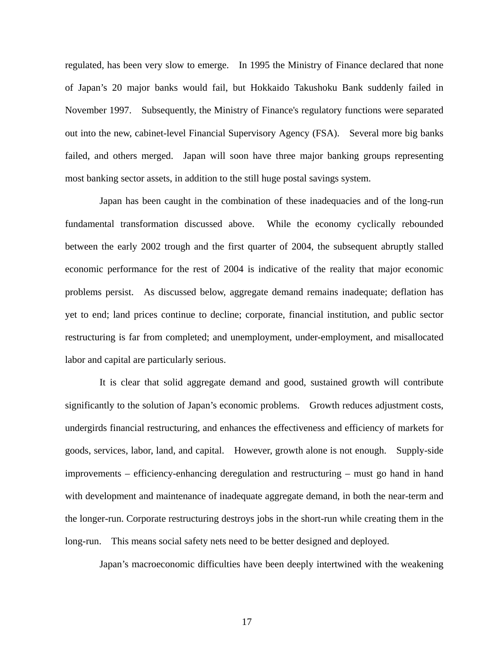regulated, has been very slow to emerge. In 1995 the Ministry of Finance declared that none of Japan's 20 major banks would fail, but Hokkaido Takushoku Bank suddenly failed in November 1997. Subsequently, the Ministry of Finance's regulatory functions were separated out into the new, cabinet-level Financial Supervisory Agency (FSA). Several more big banks failed, and others merged. Japan will soon have three major banking groups representing most banking sector assets, in addition to the still huge postal savings system.

Japan has been caught in the combination of these inadequacies and of the long-run fundamental transformation discussed above. While the economy cyclically rebounded between the early 2002 trough and the first quarter of 2004, the subsequent abruptly stalled economic performance for the rest of 2004 is indicative of the reality that major economic problems persist. As discussed below, aggregate demand remains inadequate; deflation has yet to end; land prices continue to decline; corporate, financial institution, and public sector restructuring is far from completed; and unemployment, under-employment, and misallocated labor and capital are particularly serious.

It is clear that solid aggregate demand and good, sustained growth will contribute significantly to the solution of Japan's economic problems. Growth reduces adjustment costs, undergirds financial restructuring, and enhances the effectiveness and efficiency of markets for goods, services, labor, land, and capital. However, growth alone is not enough. Supply-side improvements – efficiency-enhancing deregulation and restructuring – must go hand in hand with development and maintenance of inadequate aggregate demand, in both the near-term and the longer-run. Corporate restructuring destroys jobs in the short-run while creating them in the long-run. This means social safety nets need to be better designed and deployed.

Japan's macroeconomic difficulties have been deeply intertwined with the weakening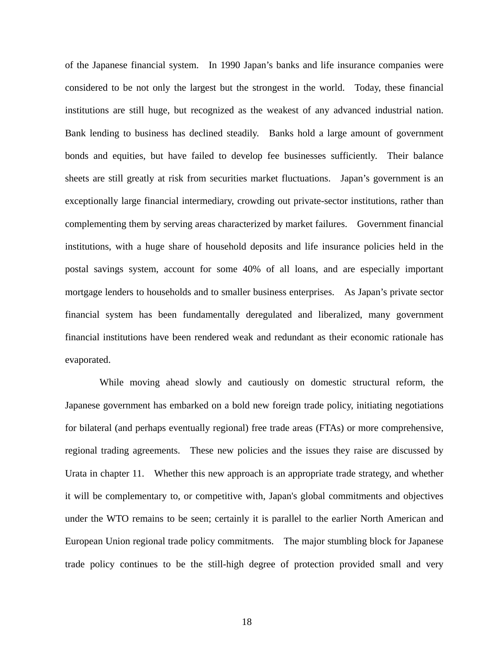of the Japanese financial system. In 1990 Japan's banks and life insurance companies were considered to be not only the largest but the strongest in the world. Today, these financial institutions are still huge, but recognized as the weakest of any advanced industrial nation. Bank lending to business has declined steadily. Banks hold a large amount of government bonds and equities, but have failed to develop fee businesses sufficiently. Their balance sheets are still greatly at risk from securities market fluctuations. Japan's government is an exceptionally large financial intermediary, crowding out private-sector institutions, rather than complementing them by serving areas characterized by market failures. Government financial institutions, with a huge share of household deposits and life insurance policies held in the postal savings system, account for some 40% of all loans, and are especially important mortgage lenders to households and to smaller business enterprises. As Japan's private sector financial system has been fundamentally deregulated and liberalized, many government financial institutions have been rendered weak and redundant as their economic rationale has evaporated.

While moving ahead slowly and cautiously on domestic structural reform, the Japanese government has embarked on a bold new foreign trade policy, initiating negotiations for bilateral (and perhaps eventually regional) free trade areas (FTAs) or more comprehensive, regional trading agreements. These new policies and the issues they raise are discussed by Urata in chapter 11. Whether this new approach is an appropriate trade strategy, and whether it will be complementary to, or competitive with, Japan's global commitments and objectives under the WTO remains to be seen; certainly it is parallel to the earlier North American and European Union regional trade policy commitments. The major stumbling block for Japanese trade policy continues to be the still-high degree of protection provided small and very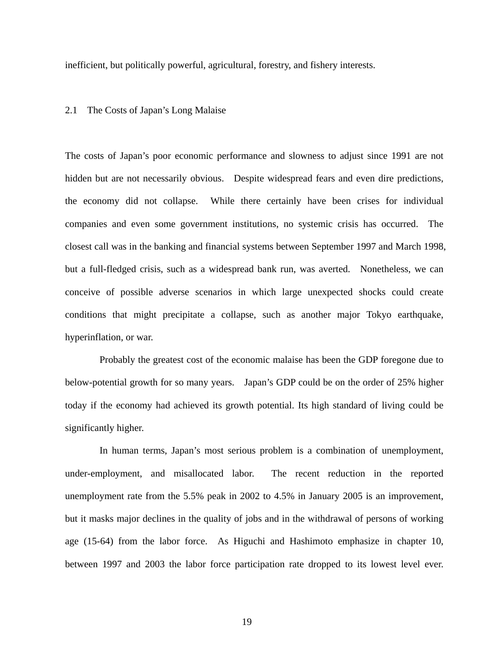inefficient, but politically powerful, agricultural, forestry, and fishery interests.

# 2.1 The Costs of Japan's Long Malaise

The costs of Japan's poor economic performance and slowness to adjust since 1991 are not hidden but are not necessarily obvious. Despite widespread fears and even dire predictions, the economy did not collapse. While there certainly have been crises for individual companies and even some government institutions, no systemic crisis has occurred. The closest call was in the banking and financial systems between September 1997 and March 1998, but a full-fledged crisis, such as a widespread bank run, was averted. Nonetheless, we can conceive of possible adverse scenarios in which large unexpected shocks could create conditions that might precipitate a collapse, such as another major Tokyo earthquake, hyperinflation, or war.

Probably the greatest cost of the economic malaise has been the GDP foregone due to below-potential growth for so many years. Japan's GDP could be on the order of 25% higher today if the economy had achieved its growth potential. Its high standard of living could be significantly higher.

In human terms, Japan's most serious problem is a combination of unemployment, under-employment, and misallocated labor. The recent reduction in the reported unemployment rate from the 5.5% peak in 2002 to 4.5% in January 2005 is an improvement, but it masks major declines in the quality of jobs and in the withdrawal of persons of working age (15-64) from the labor force. As Higuchi and Hashimoto emphasize in chapter 10, between 1997 and 2003 the labor force participation rate dropped to its lowest level ever.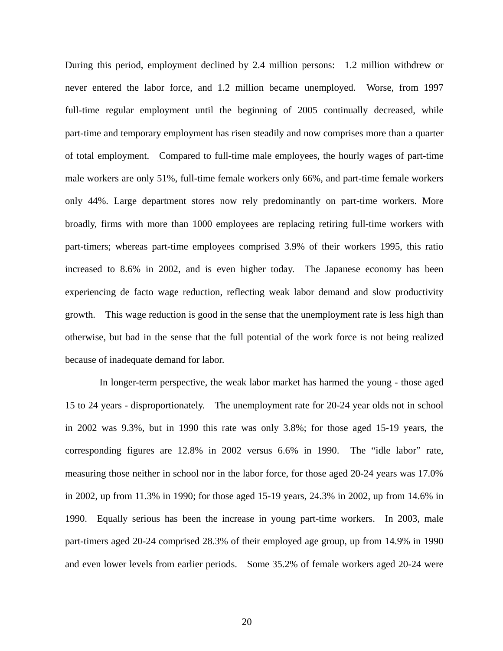During this period, employment declined by 2.4 million persons: 1.2 million withdrew or never entered the labor force, and 1.2 million became unemployed. Worse, from 1997 full-time regular employment until the beginning of 2005 continually decreased, while part-time and temporary employment has risen steadily and now comprises more than a quarter of total employment. Compared to full-time male employees, the hourly wages of part-time male workers are only 51%, full-time female workers only 66%, and part-time female workers only 44%. Large department stores now rely predominantly on part-time workers. More broadly, firms with more than 1000 employees are replacing retiring full-time workers with part-timers; whereas part-time employees comprised 3.9% of their workers 1995, this ratio increased to 8.6% in 2002, and is even higher today. The Japanese economy has been experiencing de facto wage reduction, reflecting weak labor demand and slow productivity growth. This wage reduction is good in the sense that the unemployment rate is less high than otherwise, but bad in the sense that the full potential of the work force is not being realized because of inadequate demand for labor.

In longer-term perspective, the weak labor market has harmed the young - those aged 15 to 24 years - disproportionately. The unemployment rate for 20-24 year olds not in school in 2002 was 9.3%, but in 1990 this rate was only 3.8%; for those aged 15-19 years, the corresponding figures are 12.8% in 2002 versus 6.6% in 1990. The "idle labor" rate, measuring those neither in school nor in the labor force, for those aged 20-24 years was 17.0% in 2002, up from 11.3% in 1990; for those aged 15-19 years, 24.3% in 2002, up from 14.6% in 1990. Equally serious has been the increase in young part-time workers. In 2003, male part-timers aged 20-24 comprised 28.3% of their employed age group, up from 14.9% in 1990 and even lower levels from earlier periods. Some 35.2% of female workers aged 20-24 were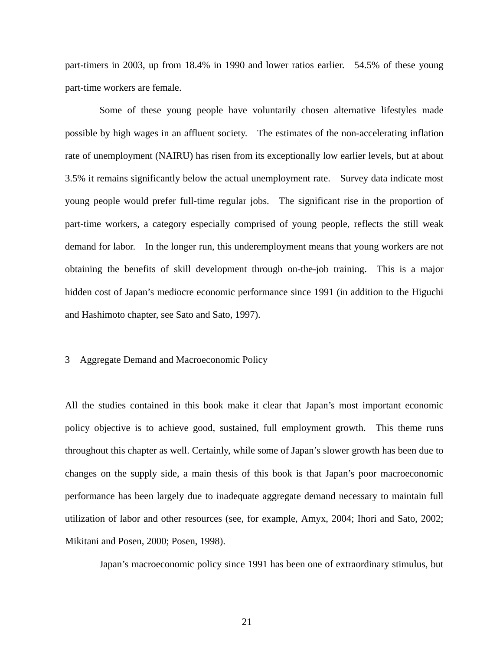part-timers in 2003, up from 18.4% in 1990 and lower ratios earlier. 54.5% of these young part-time workers are female.

Some of these young people have voluntarily chosen alternative lifestyles made possible by high wages in an affluent society. The estimates of the non-accelerating inflation rate of unemployment (NAIRU) has risen from its exceptionally low earlier levels, but at about 3.5% it remains significantly below the actual unemployment rate. Survey data indicate most young people would prefer full-time regular jobs. The significant rise in the proportion of part-time workers, a category especially comprised of young people, reflects the still weak demand for labor. In the longer run, this underemployment means that young workers are not obtaining the benefits of skill development through on-the-job training. This is a major hidden cost of Japan's mediocre economic performance since 1991 (in addition to the Higuchi and Hashimoto chapter, see Sato and Sato, 1997).

#### 3 Aggregate Demand and Macroeconomic Policy

All the studies contained in this book make it clear that Japan's most important economic policy objective is to achieve good, sustained, full employment growth. This theme runs throughout this chapter as well. Certainly, while some of Japan's slower growth has been due to changes on the supply side, a main thesis of this book is that Japan's poor macroeconomic performance has been largely due to inadequate aggregate demand necessary to maintain full utilization of labor and other resources (see, for example, Amyx, 2004; Ihori and Sato, 2002; Mikitani and Posen, 2000; Posen, 1998).

Japan's macroeconomic policy since 1991 has been one of extraordinary stimulus, but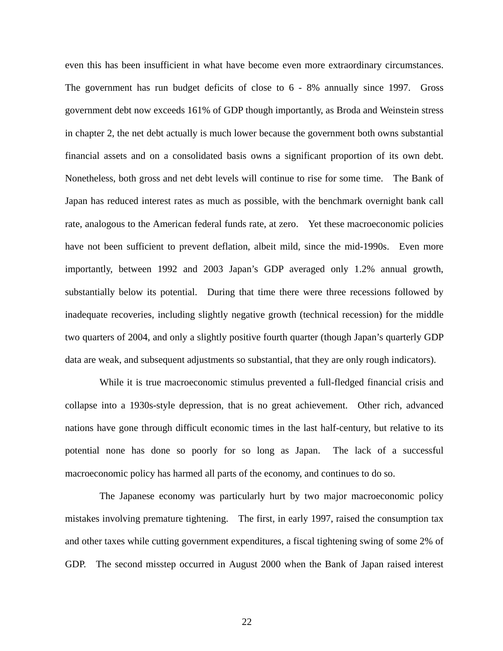even this has been insufficient in what have become even more extraordinary circumstances. The government has run budget deficits of close to 6 - 8% annually since 1997. Gross government debt now exceeds 161% of GDP though importantly, as Broda and Weinstein stress in chapter 2, the net debt actually is much lower because the government both owns substantial financial assets and on a consolidated basis owns a significant proportion of its own debt. Nonetheless, both gross and net debt levels will continue to rise for some time. The Bank of Japan has reduced interest rates as much as possible, with the benchmark overnight bank call rate, analogous to the American federal funds rate, at zero. Yet these macroeconomic policies have not been sufficient to prevent deflation, albeit mild, since the mid-1990s. Even more importantly, between 1992 and 2003 Japan's GDP averaged only 1.2% annual growth, substantially below its potential. During that time there were three recessions followed by inadequate recoveries, including slightly negative growth (technical recession) for the middle two quarters of 2004, and only a slightly positive fourth quarter (though Japan's quarterly GDP data are weak, and subsequent adjustments so substantial, that they are only rough indicators).

While it is true macroeconomic stimulus prevented a full-fledged financial crisis and collapse into a 1930s-style depression, that is no great achievement. Other rich, advanced nations have gone through difficult economic times in the last half-century, but relative to its potential none has done so poorly for so long as Japan. The lack of a successful macroeconomic policy has harmed all parts of the economy, and continues to do so.

The Japanese economy was particularly hurt by two major macroeconomic policy mistakes involving premature tightening. The first, in early 1997, raised the consumption tax and other taxes while cutting government expenditures, a fiscal tightening swing of some 2% of GDP. The second misstep occurred in August 2000 when the Bank of Japan raised interest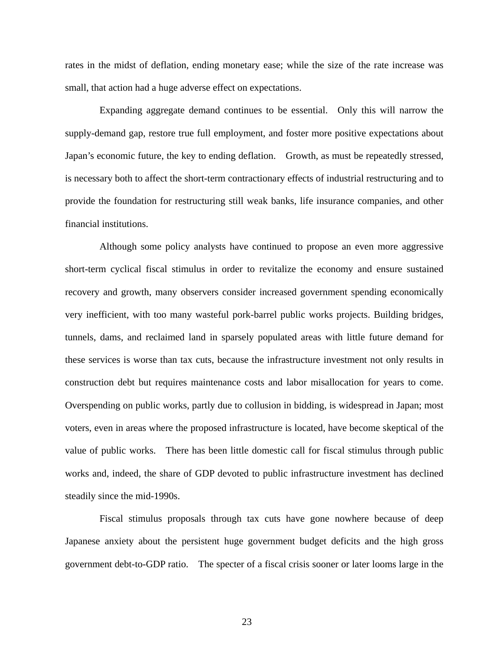rates in the midst of deflation, ending monetary ease; while the size of the rate increase was small, that action had a huge adverse effect on expectations.

Expanding aggregate demand continues to be essential. Only this will narrow the supply-demand gap, restore true full employment, and foster more positive expectations about Japan's economic future, the key to ending deflation. Growth, as must be repeatedly stressed, is necessary both to affect the short-term contractionary effects of industrial restructuring and to provide the foundation for restructuring still weak banks, life insurance companies, and other financial institutions.

Although some policy analysts have continued to propose an even more aggressive short-term cyclical fiscal stimulus in order to revitalize the economy and ensure sustained recovery and growth, many observers consider increased government spending economically very inefficient, with too many wasteful pork-barrel public works projects. Building bridges, tunnels, dams, and reclaimed land in sparsely populated areas with little future demand for these services is worse than tax cuts, because the infrastructure investment not only results in construction debt but requires maintenance costs and labor misallocation for years to come. Overspending on public works, partly due to collusion in bidding, is widespread in Japan; most voters, even in areas where the proposed infrastructure is located, have become skeptical of the value of public works. There has been little domestic call for fiscal stimulus through public works and, indeed, the share of GDP devoted to public infrastructure investment has declined steadily since the mid-1990s.

Fiscal stimulus proposals through tax cuts have gone nowhere because of deep Japanese anxiety about the persistent huge government budget deficits and the high gross government debt-to-GDP ratio. The specter of a fiscal crisis sooner or later looms large in the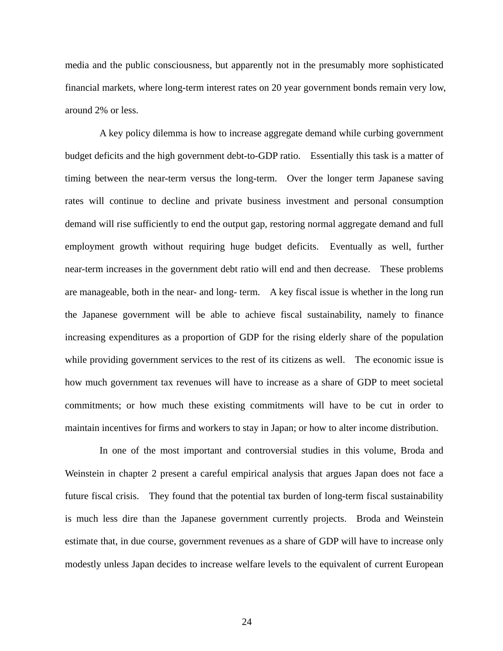media and the public consciousness, but apparently not in the presumably more sophisticated financial markets, where long-term interest rates on 20 year government bonds remain very low, around 2% or less.

A key policy dilemma is how to increase aggregate demand while curbing government budget deficits and the high government debt-to-GDP ratio. Essentially this task is a matter of timing between the near-term versus the long-term. Over the longer term Japanese saving rates will continue to decline and private business investment and personal consumption demand will rise sufficiently to end the output gap, restoring normal aggregate demand and full employment growth without requiring huge budget deficits. Eventually as well, further near-term increases in the government debt ratio will end and then decrease. These problems are manageable, both in the near- and long- term. A key fiscal issue is whether in the long run the Japanese government will be able to achieve fiscal sustainability, namely to finance increasing expenditures as a proportion of GDP for the rising elderly share of the population while providing government services to the rest of its citizens as well. The economic issue is how much government tax revenues will have to increase as a share of GDP to meet societal commitments; or how much these existing commitments will have to be cut in order to maintain incentives for firms and workers to stay in Japan; or how to alter income distribution.

In one of the most important and controversial studies in this volume, Broda and Weinstein in chapter 2 present a careful empirical analysis that argues Japan does not face a future fiscal crisis. They found that the potential tax burden of long-term fiscal sustainability is much less dire than the Japanese government currently projects. Broda and Weinstein estimate that, in due course, government revenues as a share of GDP will have to increase only modestly unless Japan decides to increase welfare levels to the equivalent of current European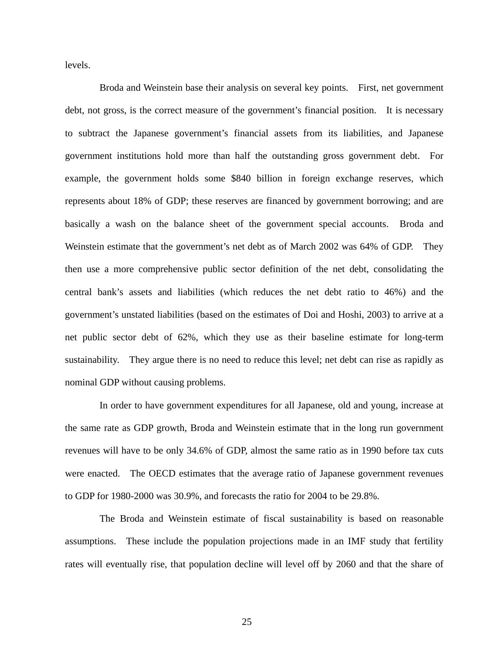levels.

Broda and Weinstein base their analysis on several key points. First, net government debt, not gross, is the correct measure of the government's financial position. It is necessary to subtract the Japanese government's financial assets from its liabilities, and Japanese government institutions hold more than half the outstanding gross government debt. For example, the government holds some \$840 billion in foreign exchange reserves, which represents about 18% of GDP; these reserves are financed by government borrowing; and are basically a wash on the balance sheet of the government special accounts. Broda and Weinstein estimate that the government's net debt as of March 2002 was 64% of GDP. They then use a more comprehensive public sector definition of the net debt, consolidating the central bank's assets and liabilities (which reduces the net debt ratio to 46%) and the government's unstated liabilities (based on the estimates of Doi and Hoshi, 2003) to arrive at a net public sector debt of 62%, which they use as their baseline estimate for long-term sustainability. They argue there is no need to reduce this level; net debt can rise as rapidly as nominal GDP without causing problems.

In order to have government expenditures for all Japanese, old and young, increase at the same rate as GDP growth, Broda and Weinstein estimate that in the long run government revenues will have to be only 34.6% of GDP, almost the same ratio as in 1990 before tax cuts were enacted. The OECD estimates that the average ratio of Japanese government revenues to GDP for 1980-2000 was 30.9%, and forecasts the ratio for 2004 to be 29.8%.

The Broda and Weinstein estimate of fiscal sustainability is based on reasonable assumptions. These include the population projections made in an IMF study that fertility rates will eventually rise, that population decline will level off by 2060 and that the share of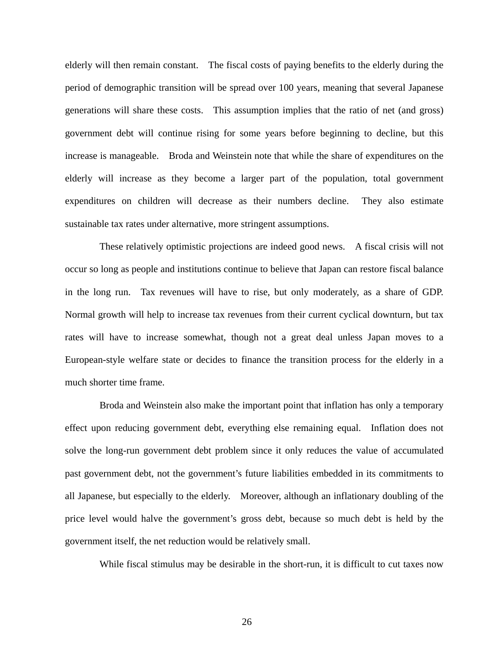elderly will then remain constant. The fiscal costs of paying benefits to the elderly during the period of demographic transition will be spread over 100 years, meaning that several Japanese generations will share these costs. This assumption implies that the ratio of net (and gross) government debt will continue rising for some years before beginning to decline, but this increase is manageable. Broda and Weinstein note that while the share of expenditures on the elderly will increase as they become a larger part of the population, total government expenditures on children will decrease as their numbers decline. They also estimate sustainable tax rates under alternative, more stringent assumptions.

These relatively optimistic projections are indeed good news. A fiscal crisis will not occur so long as people and institutions continue to believe that Japan can restore fiscal balance in the long run. Tax revenues will have to rise, but only moderately, as a share of GDP. Normal growth will help to increase tax revenues from their current cyclical downturn, but tax rates will have to increase somewhat, though not a great deal unless Japan moves to a European-style welfare state or decides to finance the transition process for the elderly in a much shorter time frame.

Broda and Weinstein also make the important point that inflation has only a temporary effect upon reducing government debt, everything else remaining equal. Inflation does not solve the long-run government debt problem since it only reduces the value of accumulated past government debt, not the government's future liabilities embedded in its commitments to all Japanese, but especially to the elderly. Moreover, although an inflationary doubling of the price level would halve the government's gross debt, because so much debt is held by the government itself, the net reduction would be relatively small.

While fiscal stimulus may be desirable in the short-run, it is difficult to cut taxes now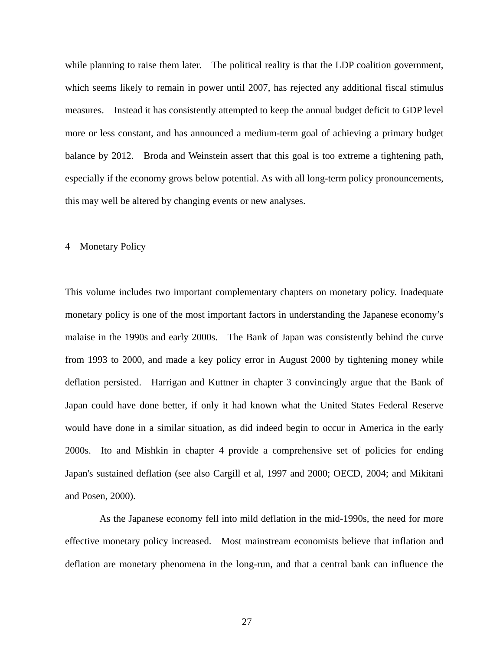while planning to raise them later. The political reality is that the LDP coalition government, which seems likely to remain in power until 2007, has rejected any additional fiscal stimulus measures. Instead it has consistently attempted to keep the annual budget deficit to GDP level more or less constant, and has announced a medium-term goal of achieving a primary budget balance by 2012. Broda and Weinstein assert that this goal is too extreme a tightening path, especially if the economy grows below potential. As with all long-term policy pronouncements, this may well be altered by changing events or new analyses.

## 4 Monetary Policy

This volume includes two important complementary chapters on monetary policy. Inadequate monetary policy is one of the most important factors in understanding the Japanese economy's malaise in the 1990s and early 2000s. The Bank of Japan was consistently behind the curve from 1993 to 2000, and made a key policy error in August 2000 by tightening money while deflation persisted. Harrigan and Kuttner in chapter 3 convincingly argue that the Bank of Japan could have done better, if only it had known what the United States Federal Reserve would have done in a similar situation, as did indeed begin to occur in America in the early 2000s. Ito and Mishkin in chapter 4 provide a comprehensive set of policies for ending Japan's sustained deflation (see also Cargill et al, 1997 and 2000; OECD, 2004; and Mikitani and Posen, 2000).

As the Japanese economy fell into mild deflation in the mid-1990s, the need for more effective monetary policy increased. Most mainstream economists believe that inflation and deflation are monetary phenomena in the long-run, and that a central bank can influence the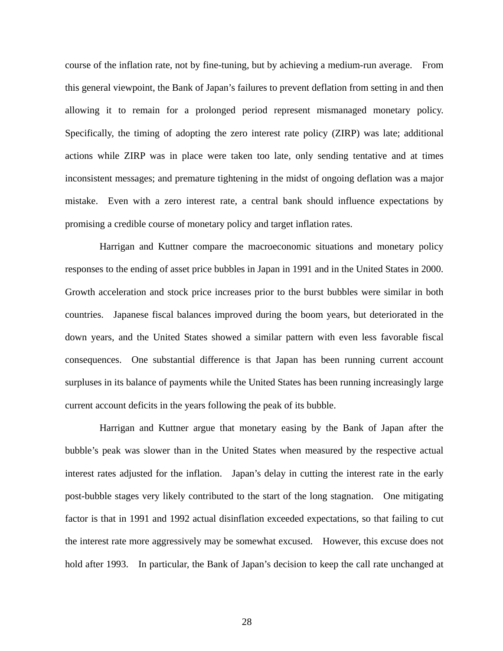course of the inflation rate, not by fine-tuning, but by achieving a medium-run average. From this general viewpoint, the Bank of Japan's failures to prevent deflation from setting in and then allowing it to remain for a prolonged period represent mismanaged monetary policy. Specifically, the timing of adopting the zero interest rate policy (ZIRP) was late; additional actions while ZIRP was in place were taken too late, only sending tentative and at times inconsistent messages; and premature tightening in the midst of ongoing deflation was a major mistake. Even with a zero interest rate, a central bank should influence expectations by promising a credible course of monetary policy and target inflation rates.

Harrigan and Kuttner compare the macroeconomic situations and monetary policy responses to the ending of asset price bubbles in Japan in 1991 and in the United States in 2000. Growth acceleration and stock price increases prior to the burst bubbles were similar in both countries. Japanese fiscal balances improved during the boom years, but deteriorated in the down years, and the United States showed a similar pattern with even less favorable fiscal consequences. One substantial difference is that Japan has been running current account surpluses in its balance of payments while the United States has been running increasingly large current account deficits in the years following the peak of its bubble.

Harrigan and Kuttner argue that monetary easing by the Bank of Japan after the bubble's peak was slower than in the United States when measured by the respective actual interest rates adjusted for the inflation. Japan's delay in cutting the interest rate in the early post-bubble stages very likely contributed to the start of the long stagnation. One mitigating factor is that in 1991 and 1992 actual disinflation exceeded expectations, so that failing to cut the interest rate more aggressively may be somewhat excused. However, this excuse does not hold after 1993. In particular, the Bank of Japan's decision to keep the call rate unchanged at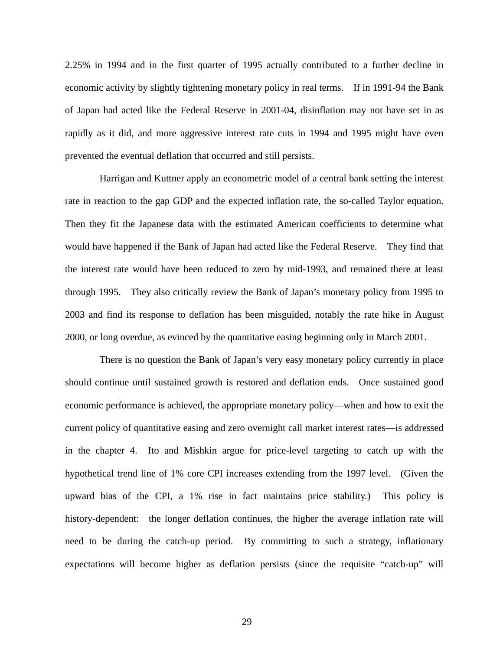2.25% in 1994 and in the first quarter of 1995 actually contributed to a further decline in economic activity by slightly tightening monetary policy in real terms. If in 1991-94 the Bank of Japan had acted like the Federal Reserve in 2001-04, disinflation may not have set in as rapidly as it did, and more aggressive interest rate cuts in 1994 and 1995 might have even prevented the eventual deflation that occurred and still persists.

Harrigan and Kuttner apply an econometric model of a central bank setting the interest rate in reaction to the gap GDP and the expected inflation rate, the so-called Taylor equation. Then they fit the Japanese data with the estimated American coefficients to determine what would have happened if the Bank of Japan had acted like the Federal Reserve. They find that the interest rate would have been reduced to zero by mid-1993, and remained there at least through 1995. They also critically review the Bank of Japan's monetary policy from 1995 to 2003 and find its response to deflation has been misguided, notably the rate hike in August 2000, or long overdue, as evinced by the quantitative easing beginning only in March 2001.

There is no question the Bank of Japan's very easy monetary policy currently in place should continue until sustained growth is restored and deflation ends. Once sustained good economic performance is achieved, the appropriate monetary policy—when and how to exit the current policy of quantitative easing and zero overnight call market interest rates—is addressed in the chapter 4. Ito and Mishkin argue for price-level targeting to catch up with the hypothetical trend line of 1% core CPI increases extending from the 1997 level. (Given the upward bias of the CPI, a 1% rise in fact maintains price stability.) This policy is history-dependent: the longer deflation continues, the higher the average inflation rate will need to be during the catch-up period. By committing to such a strategy, inflationary expectations will become higher as deflation persists (since the requisite "catch-up" will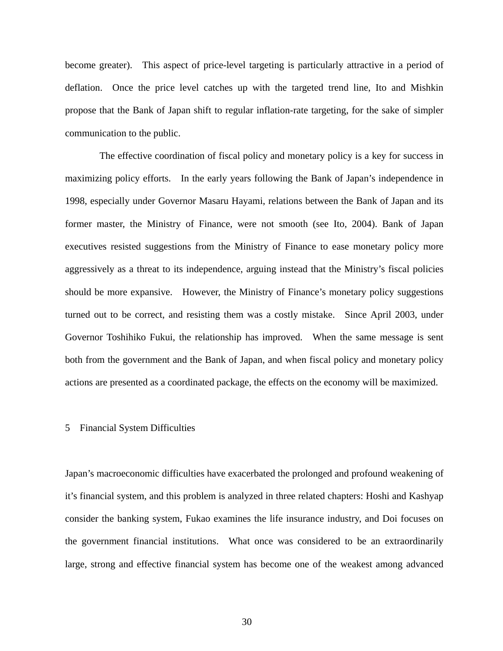become greater). This aspect of price-level targeting is particularly attractive in a period of deflation. Once the price level catches up with the targeted trend line, Ito and Mishkin propose that the Bank of Japan shift to regular inflation-rate targeting, for the sake of simpler communication to the public.

The effective coordination of fiscal policy and monetary policy is a key for success in maximizing policy efforts. In the early years following the Bank of Japan's independence in 1998, especially under Governor Masaru Hayami, relations between the Bank of Japan and its former master, the Ministry of Finance, were not smooth (see Ito, 2004). Bank of Japan executives resisted suggestions from the Ministry of Finance to ease monetary policy more aggressively as a threat to its independence, arguing instead that the Ministry's fiscal policies should be more expansive. However, the Ministry of Finance's monetary policy suggestions turned out to be correct, and resisting them was a costly mistake. Since April 2003, under Governor Toshihiko Fukui, the relationship has improved. When the same message is sent both from the government and the Bank of Japan, and when fiscal policy and monetary policy actions are presented as a coordinated package, the effects on the economy will be maximized.

# 5 Financial System Difficulties

Japan's macroeconomic difficulties have exacerbated the prolonged and profound weakening of it's financial system, and this problem is analyzed in three related chapters: Hoshi and Kashyap consider the banking system, Fukao examines the life insurance industry, and Doi focuses on the government financial institutions. What once was considered to be an extraordinarily large, strong and effective financial system has become one of the weakest among advanced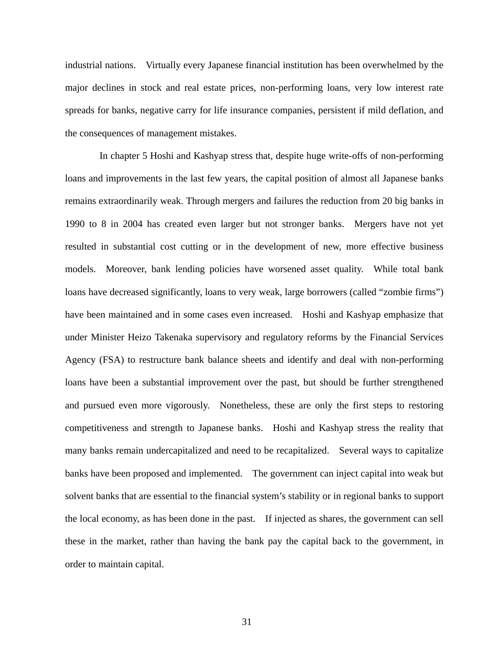industrial nations. Virtually every Japanese financial institution has been overwhelmed by the major declines in stock and real estate prices, non-performing loans, very low interest rate spreads for banks, negative carry for life insurance companies, persistent if mild deflation, and the consequences of management mistakes.

In chapter 5 Hoshi and Kashyap stress that, despite huge write-offs of non-performing loans and improvements in the last few years, the capital position of almost all Japanese banks remains extraordinarily weak. Through mergers and failures the reduction from 20 big banks in 1990 to 8 in 2004 has created even larger but not stronger banks. Mergers have not yet resulted in substantial cost cutting or in the development of new, more effective business models. Moreover, bank lending policies have worsened asset quality. While total bank loans have decreased significantly, loans to very weak, large borrowers (called "zombie firms") have been maintained and in some cases even increased. Hoshi and Kashyap emphasize that under Minister Heizo Takenaka supervisory and regulatory reforms by the Financial Services Agency (FSA) to restructure bank balance sheets and identify and deal with non-performing loans have been a substantial improvement over the past, but should be further strengthened and pursued even more vigorously. Nonetheless, these are only the first steps to restoring competitiveness and strength to Japanese banks. Hoshi and Kashyap stress the reality that many banks remain undercapitalized and need to be recapitalized. Several ways to capitalize banks have been proposed and implemented. The government can inject capital into weak but solvent banks that are essential to the financial system's stability or in regional banks to support the local economy, as has been done in the past. If injected as shares, the government can sell these in the market, rather than having the bank pay the capital back to the government, in order to maintain capital.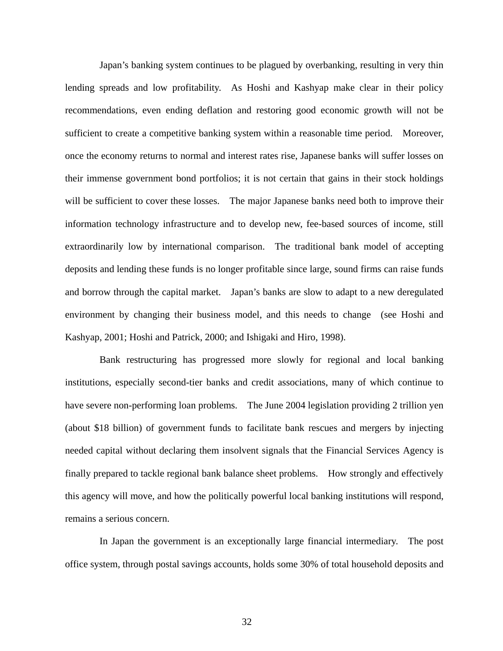Japan's banking system continues to be plagued by overbanking, resulting in very thin lending spreads and low profitability. As Hoshi and Kashyap make clear in their policy recommendations, even ending deflation and restoring good economic growth will not be sufficient to create a competitive banking system within a reasonable time period. Moreover, once the economy returns to normal and interest rates rise, Japanese banks will suffer losses on their immense government bond portfolios; it is not certain that gains in their stock holdings will be sufficient to cover these losses. The major Japanese banks need both to improve their information technology infrastructure and to develop new, fee-based sources of income, still extraordinarily low by international comparison. The traditional bank model of accepting deposits and lending these funds is no longer profitable since large, sound firms can raise funds and borrow through the capital market. Japan's banks are slow to adapt to a new deregulated environment by changing their business model, and this needs to change (see Hoshi and Kashyap, 2001; Hoshi and Patrick, 2000; and Ishigaki and Hiro, 1998).

Bank restructuring has progressed more slowly for regional and local banking institutions, especially second-tier banks and credit associations, many of which continue to have severe non-performing loan problems. The June 2004 legislation providing 2 trillion yen (about \$18 billion) of government funds to facilitate bank rescues and mergers by injecting needed capital without declaring them insolvent signals that the Financial Services Agency is finally prepared to tackle regional bank balance sheet problems. How strongly and effectively this agency will move, and how the politically powerful local banking institutions will respond, remains a serious concern.

In Japan the government is an exceptionally large financial intermediary. The post office system, through postal savings accounts, holds some 30% of total household deposits and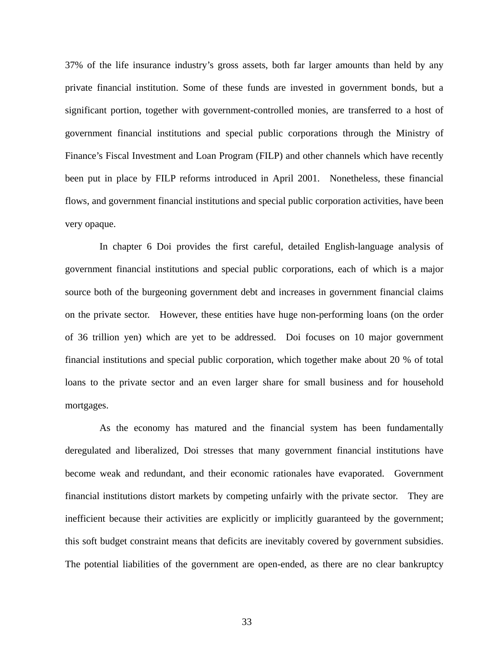37% of the life insurance industry's gross assets, both far larger amounts than held by any private financial institution. Some of these funds are invested in government bonds, but a significant portion, together with government-controlled monies, are transferred to a host of government financial institutions and special public corporations through the Ministry of Finance's Fiscal Investment and Loan Program (FILP) and other channels which have recently been put in place by FILP reforms introduced in April 2001. Nonetheless, these financial flows, and government financial institutions and special public corporation activities, have been very opaque.

In chapter 6 Doi provides the first careful, detailed English-language analysis of government financial institutions and special public corporations, each of which is a major source both of the burgeoning government debt and increases in government financial claims on the private sector. However, these entities have huge non-performing loans (on the order of 36 trillion yen) which are yet to be addressed. Doi focuses on 10 major government financial institutions and special public corporation, which together make about 20 % of total loans to the private sector and an even larger share for small business and for household mortgages.

As the economy has matured and the financial system has been fundamentally deregulated and liberalized, Doi stresses that many government financial institutions have become weak and redundant, and their economic rationales have evaporated. Government financial institutions distort markets by competing unfairly with the private sector. They are inefficient because their activities are explicitly or implicitly guaranteed by the government; this soft budget constraint means that deficits are inevitably covered by government subsidies. The potential liabilities of the government are open-ended, as there are no clear bankruptcy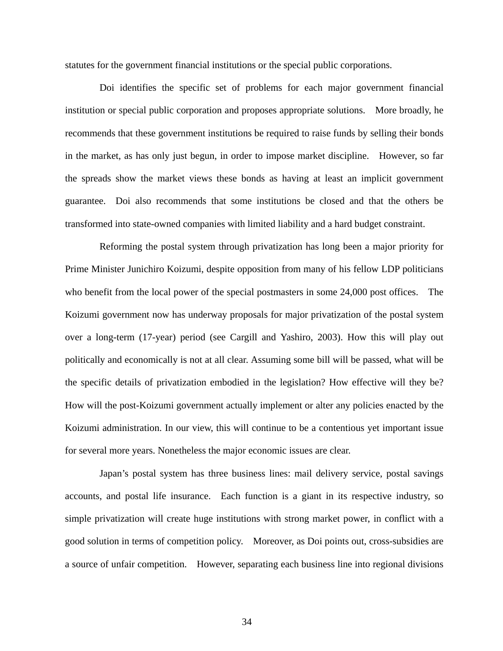statutes for the government financial institutions or the special public corporations.

Doi identifies the specific set of problems for each major government financial institution or special public corporation and proposes appropriate solutions. More broadly, he recommends that these government institutions be required to raise funds by selling their bonds in the market, as has only just begun, in order to impose market discipline. However, so far the spreads show the market views these bonds as having at least an implicit government guarantee. Doi also recommends that some institutions be closed and that the others be transformed into state-owned companies with limited liability and a hard budget constraint.

Reforming the postal system through privatization has long been a major priority for Prime Minister Junichiro Koizumi, despite opposition from many of his fellow LDP politicians who benefit from the local power of the special postmasters in some 24,000 post offices. The Koizumi government now has underway proposals for major privatization of the postal system over a long-term (17-year) period (see Cargill and Yashiro, 2003). How this will play out politically and economically is not at all clear. Assuming some bill will be passed, what will be the specific details of privatization embodied in the legislation? How effective will they be? How will the post-Koizumi government actually implement or alter any policies enacted by the Koizumi administration. In our view, this will continue to be a contentious yet important issue for several more years. Nonetheless the major economic issues are clear.

Japan's postal system has three business lines: mail delivery service, postal savings accounts, and postal life insurance. Each function is a giant in its respective industry, so simple privatization will create huge institutions with strong market power, in conflict with a good solution in terms of competition policy. Moreover, as Doi points out, cross-subsidies are a source of unfair competition. However, separating each business line into regional divisions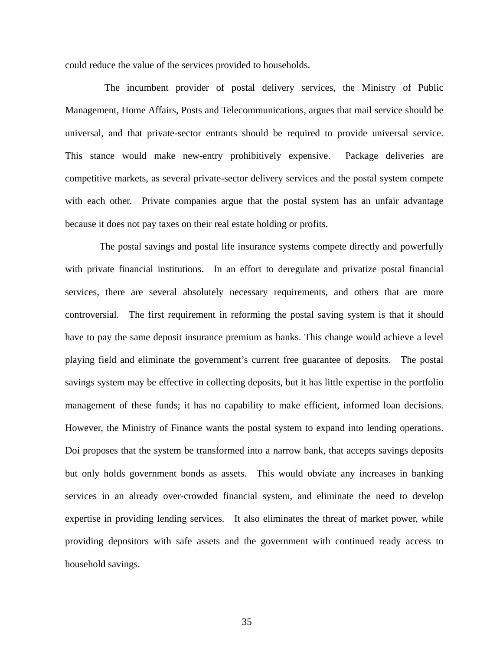could reduce the value of the services provided to households.

The incumbent provider of postal delivery services, the Ministry of Public Management, Home Affairs, Posts and Telecommunications, argues that mail service should be universal, and that private-sector entrants should be required to provide universal service. This stance would make new-entry prohibitively expensive. Package deliveries are competitive markets, as several private-sector delivery services and the postal system compete with each other. Private companies argue that the postal system has an unfair advantage because it does not pay taxes on their real estate holding or profits.

The postal savings and postal life insurance systems compete directly and powerfully with private financial institutions. In an effort to deregulate and privatize postal financial services, there are several absolutely necessary requirements, and others that are more controversial. The first requirement in reforming the postal saving system is that it should have to pay the same deposit insurance premium as banks. This change would achieve a level playing field and eliminate the government's current free guarantee of deposits. The postal savings system may be effective in collecting deposits, but it has little expertise in the portfolio management of these funds; it has no capability to make efficient, informed loan decisions. However, the Ministry of Finance wants the postal system to expand into lending operations. Doi proposes that the system be transformed into a narrow bank, that accepts savings deposits but only holds government bonds as assets. This would obviate any increases in banking services in an already over-crowded financial system, and eliminate the need to develop expertise in providing lending services. It also eliminates the threat of market power, while providing depositors with safe assets and the government with continued ready access to household savings.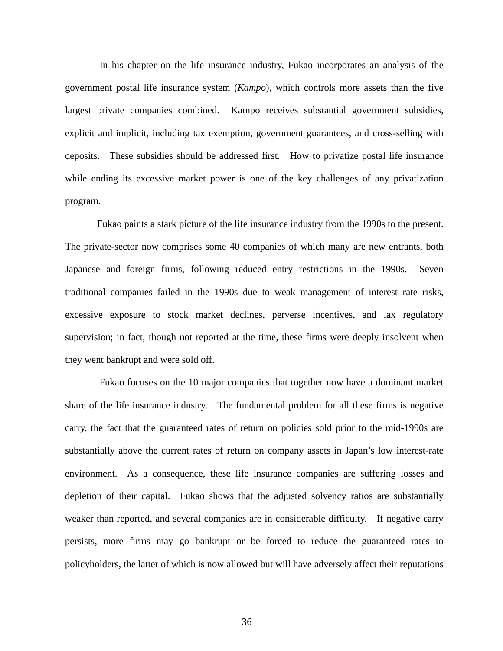In his chapter on the life insurance industry, Fukao incorporates an analysis of the government postal life insurance system (*Kampo*), which controls more assets than the five largest private companies combined. Kampo receives substantial government subsidies, explicit and implicit, including tax exemption, government guarantees, and cross-selling with deposits. These subsidies should be addressed first. How to privatize postal life insurance while ending its excessive market power is one of the key challenges of any privatization program.

Fukao paints a stark picture of the life insurance industry from the 1990s to the present. The private-sector now comprises some 40 companies of which many are new entrants, both Japanese and foreign firms, following reduced entry restrictions in the 1990s. Seven traditional companies failed in the 1990s due to weak management of interest rate risks, excessive exposure to stock market declines, perverse incentives, and lax regulatory supervision; in fact, though not reported at the time, these firms were deeply insolvent when they went bankrupt and were sold off.

Fukao focuses on the 10 major companies that together now have a dominant market share of the life insurance industry. The fundamental problem for all these firms is negative carry, the fact that the guaranteed rates of return on policies sold prior to the mid-1990s are substantially above the current rates of return on company assets in Japan's low interest-rate environment. As a consequence, these life insurance companies are suffering losses and depletion of their capital. Fukao shows that the adjusted solvency ratios are substantially weaker than reported, and several companies are in considerable difficulty. If negative carry persists, more firms may go bankrupt or be forced to reduce the guaranteed rates to policyholders, the latter of which is now allowed but will have adversely affect their reputations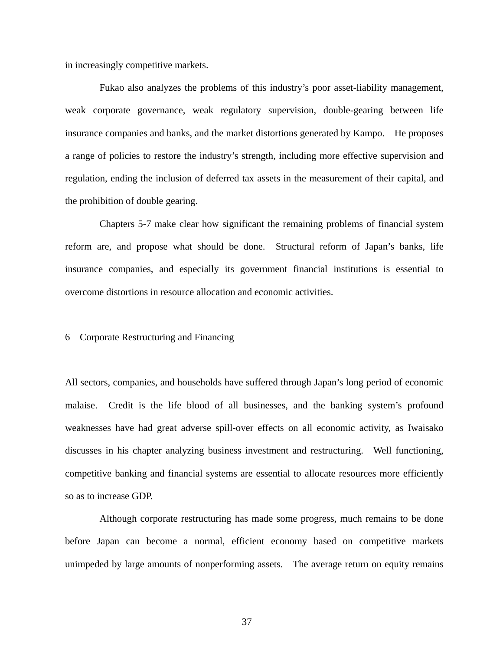in increasingly competitive markets.

Fukao also analyzes the problems of this industry's poor asset-liability management, weak corporate governance, weak regulatory supervision, double-gearing between life insurance companies and banks, and the market distortions generated by Kampo. He proposes a range of policies to restore the industry's strength, including more effective supervision and regulation, ending the inclusion of deferred tax assets in the measurement of their capital, and the prohibition of double gearing.

Chapters 5-7 make clear how significant the remaining problems of financial system reform are, and propose what should be done. Structural reform of Japan's banks, life insurance companies, and especially its government financial institutions is essential to overcome distortions in resource allocation and economic activities.

# 6 Corporate Restructuring and Financing

All sectors, companies, and households have suffered through Japan's long period of economic malaise. Credit is the life blood of all businesses, and the banking system's profound weaknesses have had great adverse spill-over effects on all economic activity, as Iwaisako discusses in his chapter analyzing business investment and restructuring. Well functioning, competitive banking and financial systems are essential to allocate resources more efficiently so as to increase GDP.

Although corporate restructuring has made some progress, much remains to be done before Japan can become a normal, efficient economy based on competitive markets unimpeded by large amounts of nonperforming assets. The average return on equity remains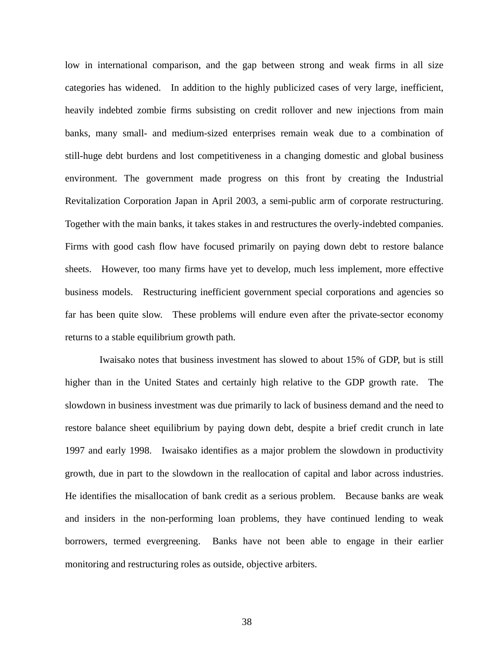low in international comparison, and the gap between strong and weak firms in all size categories has widened. In addition to the highly publicized cases of very large, inefficient, heavily indebted zombie firms subsisting on credit rollover and new injections from main banks, many small- and medium-sized enterprises remain weak due to a combination of still-huge debt burdens and lost competitiveness in a changing domestic and global business environment. The government made progress on this front by creating the Industrial Revitalization Corporation Japan in April 2003, a semi-public arm of corporate restructuring. Together with the main banks, it takes stakes in and restructures the overly-indebted companies. Firms with good cash flow have focused primarily on paying down debt to restore balance sheets. However, too many firms have yet to develop, much less implement, more effective business models. Restructuring inefficient government special corporations and agencies so far has been quite slow. These problems will endure even after the private-sector economy returns to a stable equilibrium growth path.

Iwaisako notes that business investment has slowed to about 15% of GDP, but is still higher than in the United States and certainly high relative to the GDP growth rate. The slowdown in business investment was due primarily to lack of business demand and the need to restore balance sheet equilibrium by paying down debt, despite a brief credit crunch in late 1997 and early 1998. Iwaisako identifies as a major problem the slowdown in productivity growth, due in part to the slowdown in the reallocation of capital and labor across industries. He identifies the misallocation of bank credit as a serious problem. Because banks are weak and insiders in the non-performing loan problems, they have continued lending to weak borrowers, termed evergreening. Banks have not been able to engage in their earlier monitoring and restructuring roles as outside, objective arbiters.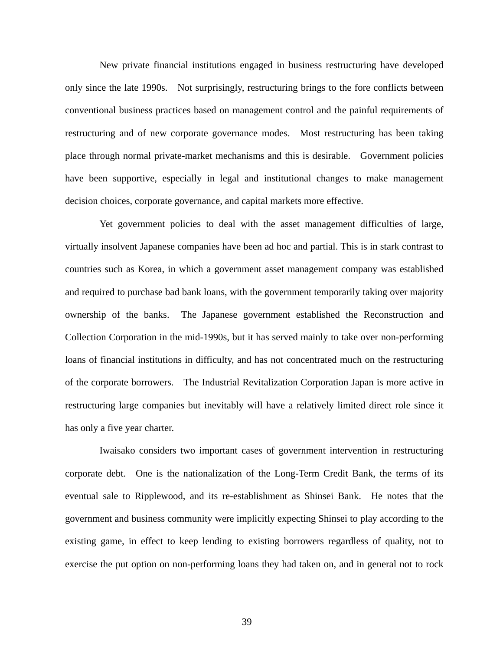New private financial institutions engaged in business restructuring have developed only since the late 1990s. Not surprisingly, restructuring brings to the fore conflicts between conventional business practices based on management control and the painful requirements of restructuring and of new corporate governance modes. Most restructuring has been taking place through normal private-market mechanisms and this is desirable. Government policies have been supportive, especially in legal and institutional changes to make management decision choices, corporate governance, and capital markets more effective.

Yet government policies to deal with the asset management difficulties of large, virtually insolvent Japanese companies have been ad hoc and partial. This is in stark contrast to countries such as Korea, in which a government asset management company was established and required to purchase bad bank loans, with the government temporarily taking over majority ownership of the banks. The Japanese government established the Reconstruction and Collection Corporation in the mid-1990s, but it has served mainly to take over non-performing loans of financial institutions in difficulty, and has not concentrated much on the restructuring of the corporate borrowers. The Industrial Revitalization Corporation Japan is more active in restructuring large companies but inevitably will have a relatively limited direct role since it has only a five year charter.

Iwaisako considers two important cases of government intervention in restructuring corporate debt. One is the nationalization of the Long-Term Credit Bank, the terms of its eventual sale to Ripplewood, and its re-establishment as Shinsei Bank. He notes that the government and business community were implicitly expecting Shinsei to play according to the existing game, in effect to keep lending to existing borrowers regardless of quality, not to exercise the put option on non-performing loans they had taken on, and in general not to rock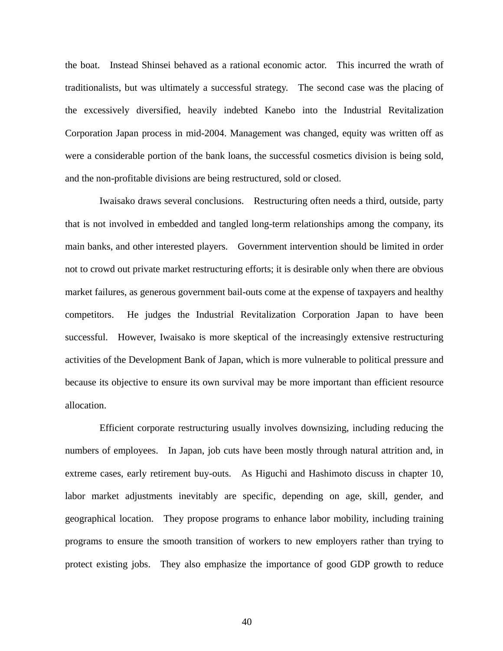the boat. Instead Shinsei behaved as a rational economic actor. This incurred the wrath of traditionalists, but was ultimately a successful strategy. The second case was the placing of the excessively diversified, heavily indebted Kanebo into the Industrial Revitalization Corporation Japan process in mid-2004. Management was changed, equity was written off as were a considerable portion of the bank loans, the successful cosmetics division is being sold, and the non-profitable divisions are being restructured, sold or closed.

Iwaisako draws several conclusions. Restructuring often needs a third, outside, party that is not involved in embedded and tangled long-term relationships among the company, its main banks, and other interested players. Government intervention should be limited in order not to crowd out private market restructuring efforts; it is desirable only when there are obvious market failures, as generous government bail-outs come at the expense of taxpayers and healthy competitors. He judges the Industrial Revitalization Corporation Japan to have been successful. However, Iwaisako is more skeptical of the increasingly extensive restructuring activities of the Development Bank of Japan, which is more vulnerable to political pressure and because its objective to ensure its own survival may be more important than efficient resource allocation.

Efficient corporate restructuring usually involves downsizing, including reducing the numbers of employees. In Japan, job cuts have been mostly through natural attrition and, in extreme cases, early retirement buy-outs. As Higuchi and Hashimoto discuss in chapter 10, labor market adjustments inevitably are specific, depending on age, skill, gender, and geographical location. They propose programs to enhance labor mobility, including training programs to ensure the smooth transition of workers to new employers rather than trying to protect existing jobs. They also emphasize the importance of good GDP growth to reduce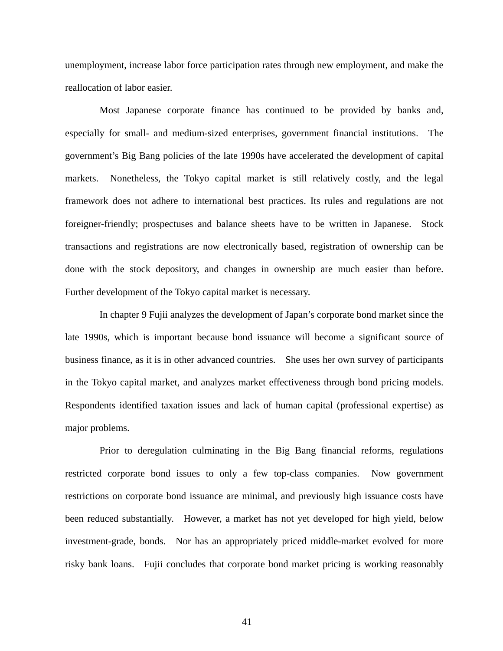unemployment, increase labor force participation rates through new employment, and make the reallocation of labor easier.

Most Japanese corporate finance has continued to be provided by banks and, especially for small- and medium-sized enterprises, government financial institutions. The government's Big Bang policies of the late 1990s have accelerated the development of capital markets. Nonetheless, the Tokyo capital market is still relatively costly, and the legal framework does not adhere to international best practices. Its rules and regulations are not foreigner-friendly; prospectuses and balance sheets have to be written in Japanese. Stock transactions and registrations are now electronically based, registration of ownership can be done with the stock depository, and changes in ownership are much easier than before. Further development of the Tokyo capital market is necessary.

In chapter 9 Fujii analyzes the development of Japan's corporate bond market since the late 1990s, which is important because bond issuance will become a significant source of business finance, as it is in other advanced countries. She uses her own survey of participants in the Tokyo capital market, and analyzes market effectiveness through bond pricing models. Respondents identified taxation issues and lack of human capital (professional expertise) as major problems.

Prior to deregulation culminating in the Big Bang financial reforms, regulations restricted corporate bond issues to only a few top-class companies. Now government restrictions on corporate bond issuance are minimal, and previously high issuance costs have been reduced substantially. However, a market has not yet developed for high yield, below investment-grade, bonds. Nor has an appropriately priced middle-market evolved for more risky bank loans. Fujii concludes that corporate bond market pricing is working reasonably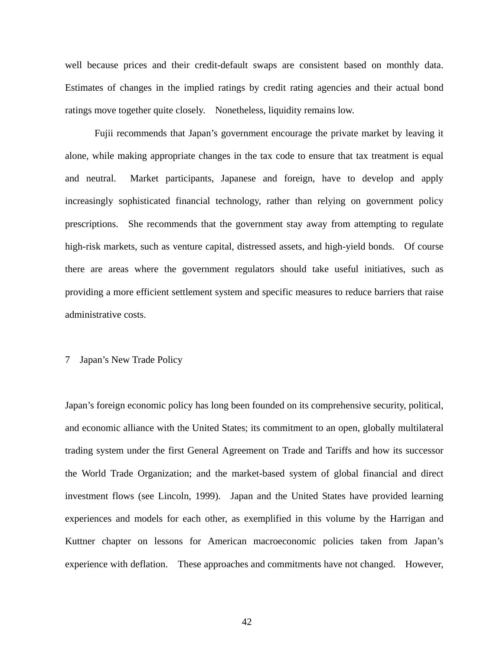well because prices and their credit-default swaps are consistent based on monthly data. Estimates of changes in the implied ratings by credit rating agencies and their actual bond ratings move together quite closely. Nonetheless, liquidity remains low.

Fujii recommends that Japan's government encourage the private market by leaving it alone, while making appropriate changes in the tax code to ensure that tax treatment is equal and neutral. Market participants, Japanese and foreign, have to develop and apply increasingly sophisticated financial technology, rather than relying on government policy prescriptions. She recommends that the government stay away from attempting to regulate high-risk markets, such as venture capital, distressed assets, and high-yield bonds. Of course there are areas where the government regulators should take useful initiatives, such as providing a more efficient settlement system and specific measures to reduce barriers that raise administrative costs.

# 7 Japan's New Trade Policy

Japan's foreign economic policy has long been founded on its comprehensive security, political, and economic alliance with the United States; its commitment to an open, globally multilateral trading system under the first General Agreement on Trade and Tariffs and how its successor the World Trade Organization; and the market-based system of global financial and direct investment flows (see Lincoln, 1999). Japan and the United States have provided learning experiences and models for each other, as exemplified in this volume by the Harrigan and Kuttner chapter on lessons for American macroeconomic policies taken from Japan's experience with deflation. These approaches and commitments have not changed. However,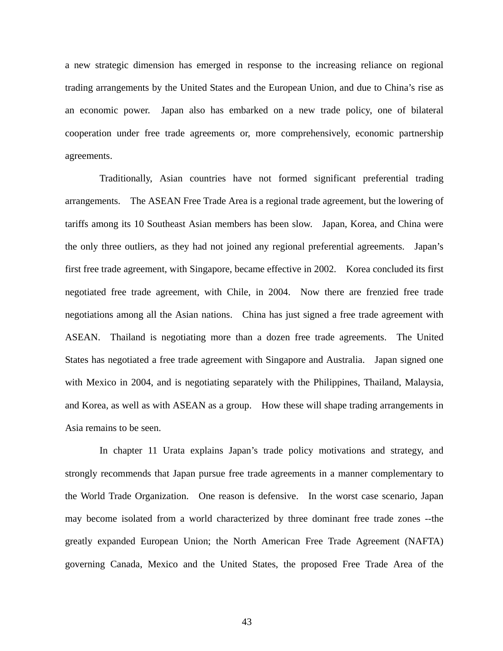a new strategic dimension has emerged in response to the increasing reliance on regional trading arrangements by the United States and the European Union, and due to China's rise as an economic power. Japan also has embarked on a new trade policy, one of bilateral cooperation under free trade agreements or, more comprehensively, economic partnership agreements.

Traditionally, Asian countries have not formed significant preferential trading arrangements. The ASEAN Free Trade Area is a regional trade agreement, but the lowering of tariffs among its 10 Southeast Asian members has been slow. Japan, Korea, and China were the only three outliers, as they had not joined any regional preferential agreements. Japan's first free trade agreement, with Singapore, became effective in 2002. Korea concluded its first negotiated free trade agreement, with Chile, in 2004. Now there are frenzied free trade negotiations among all the Asian nations. China has just signed a free trade agreement with ASEAN. Thailand is negotiating more than a dozen free trade agreements. The United States has negotiated a free trade agreement with Singapore and Australia. Japan signed one with Mexico in 2004, and is negotiating separately with the Philippines, Thailand, Malaysia, and Korea, as well as with ASEAN as a group. How these will shape trading arrangements in Asia remains to be seen.

In chapter 11 Urata explains Japan's trade policy motivations and strategy, and strongly recommends that Japan pursue free trade agreements in a manner complementary to the World Trade Organization. One reason is defensive. In the worst case scenario, Japan may become isolated from a world characterized by three dominant free trade zones --the greatly expanded European Union; the North American Free Trade Agreement (NAFTA) governing Canada, Mexico and the United States, the proposed Free Trade Area of the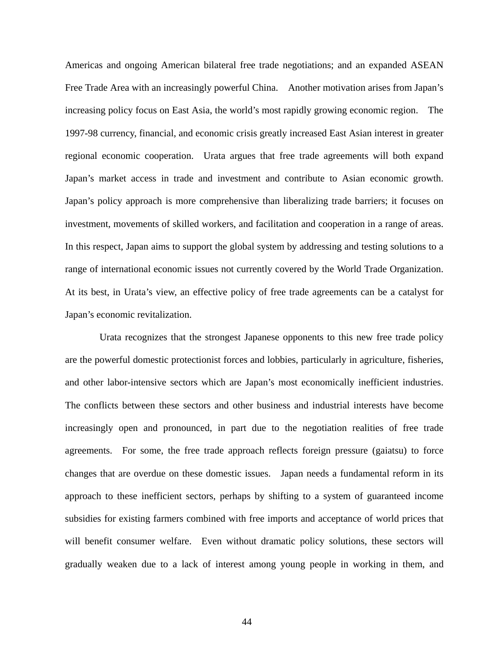Americas and ongoing American bilateral free trade negotiations; and an expanded ASEAN Free Trade Area with an increasingly powerful China. Another motivation arises from Japan's increasing policy focus on East Asia, the world's most rapidly growing economic region. The 1997-98 currency, financial, and economic crisis greatly increased East Asian interest in greater regional economic cooperation. Urata argues that free trade agreements will both expand Japan's market access in trade and investment and contribute to Asian economic growth. Japan's policy approach is more comprehensive than liberalizing trade barriers; it focuses on investment, movements of skilled workers, and facilitation and cooperation in a range of areas. In this respect, Japan aims to support the global system by addressing and testing solutions to a range of international economic issues not currently covered by the World Trade Organization. At its best, in Urata's view, an effective policy of free trade agreements can be a catalyst for Japan's economic revitalization.

Urata recognizes that the strongest Japanese opponents to this new free trade policy are the powerful domestic protectionist forces and lobbies, particularly in agriculture, fisheries, and other labor-intensive sectors which are Japan's most economically inefficient industries. The conflicts between these sectors and other business and industrial interests have become increasingly open and pronounced, in part due to the negotiation realities of free trade agreements. For some, the free trade approach reflects foreign pressure (gaiatsu) to force changes that are overdue on these domestic issues. Japan needs a fundamental reform in its approach to these inefficient sectors, perhaps by shifting to a system of guaranteed income subsidies for existing farmers combined with free imports and acceptance of world prices that will benefit consumer welfare. Even without dramatic policy solutions, these sectors will gradually weaken due to a lack of interest among young people in working in them, and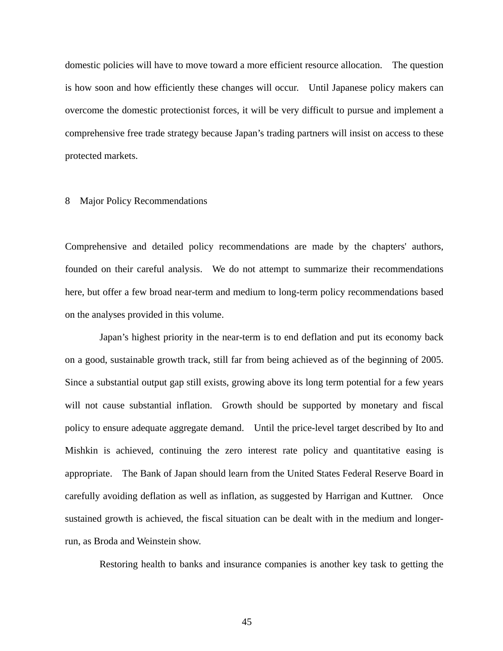domestic policies will have to move toward a more efficient resource allocation. The question is how soon and how efficiently these changes will occur. Until Japanese policy makers can overcome the domestic protectionist forces, it will be very difficult to pursue and implement a comprehensive free trade strategy because Japan's trading partners will insist on access to these protected markets.

# 8 Major Policy Recommendations

Comprehensive and detailed policy recommendations are made by the chapters' authors, founded on their careful analysis. We do not attempt to summarize their recommendations here, but offer a few broad near-term and medium to long-term policy recommendations based on the analyses provided in this volume.

Japan's highest priority in the near-term is to end deflation and put its economy back on a good, sustainable growth track, still far from being achieved as of the beginning of 2005. Since a substantial output gap still exists, growing above its long term potential for a few years will not cause substantial inflation. Growth should be supported by monetary and fiscal policy to ensure adequate aggregate demand. Until the price-level target described by Ito and Mishkin is achieved, continuing the zero interest rate policy and quantitative easing is appropriate. The Bank of Japan should learn from the United States Federal Reserve Board in carefully avoiding deflation as well as inflation, as suggested by Harrigan and Kuttner. Once sustained growth is achieved, the fiscal situation can be dealt with in the medium and longerrun, as Broda and Weinstein show.

Restoring health to banks and insurance companies is another key task to getting the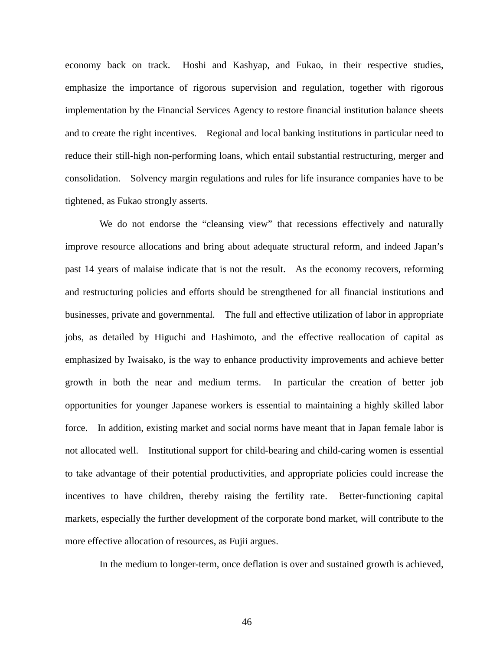economy back on track. Hoshi and Kashyap, and Fukao, in their respective studies, emphasize the importance of rigorous supervision and regulation, together with rigorous implementation by the Financial Services Agency to restore financial institution balance sheets and to create the right incentives. Regional and local banking institutions in particular need to reduce their still-high non-performing loans, which entail substantial restructuring, merger and consolidation. Solvency margin regulations and rules for life insurance companies have to be tightened, as Fukao strongly asserts.

We do not endorse the "cleansing view" that recessions effectively and naturally improve resource allocations and bring about adequate structural reform, and indeed Japan's past 14 years of malaise indicate that is not the result. As the economy recovers, reforming and restructuring policies and efforts should be strengthened for all financial institutions and businesses, private and governmental. The full and effective utilization of labor in appropriate jobs, as detailed by Higuchi and Hashimoto, and the effective reallocation of capital as emphasized by Iwaisako, is the way to enhance productivity improvements and achieve better growth in both the near and medium terms. In particular the creation of better job opportunities for younger Japanese workers is essential to maintaining a highly skilled labor force. In addition, existing market and social norms have meant that in Japan female labor is not allocated well. Institutional support for child-bearing and child-caring women is essential to take advantage of their potential productivities, and appropriate policies could increase the incentives to have children, thereby raising the fertility rate. Better-functioning capital markets, especially the further development of the corporate bond market, will contribute to the more effective allocation of resources, as Fujii argues.

In the medium to longer-term, once deflation is over and sustained growth is achieved,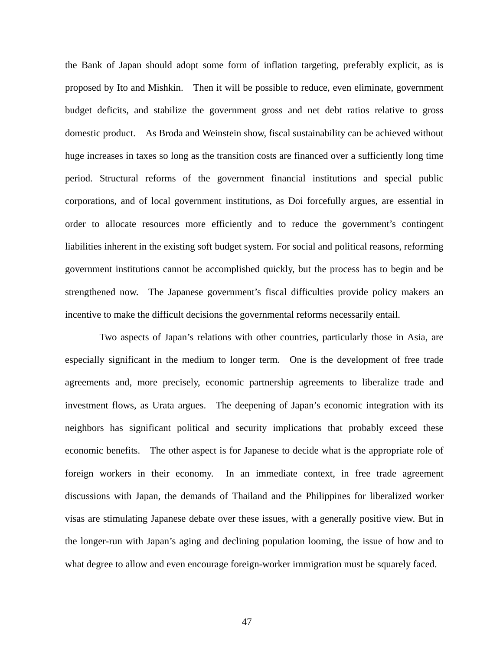the Bank of Japan should adopt some form of inflation targeting, preferably explicit, as is proposed by Ito and Mishkin. Then it will be possible to reduce, even eliminate, government budget deficits, and stabilize the government gross and net debt ratios relative to gross domestic product. As Broda and Weinstein show, fiscal sustainability can be achieved without huge increases in taxes so long as the transition costs are financed over a sufficiently long time period. Structural reforms of the government financial institutions and special public corporations, and of local government institutions, as Doi forcefully argues, are essential in order to allocate resources more efficiently and to reduce the government's contingent liabilities inherent in the existing soft budget system. For social and political reasons, reforming government institutions cannot be accomplished quickly, but the process has to begin and be strengthened now. The Japanese government's fiscal difficulties provide policy makers an incentive to make the difficult decisions the governmental reforms necessarily entail.

Two aspects of Japan's relations with other countries, particularly those in Asia, are especially significant in the medium to longer term. One is the development of free trade agreements and, more precisely, economic partnership agreements to liberalize trade and investment flows, as Urata argues. The deepening of Japan's economic integration with its neighbors has significant political and security implications that probably exceed these economic benefits. The other aspect is for Japanese to decide what is the appropriate role of foreign workers in their economy. In an immediate context, in free trade agreement discussions with Japan, the demands of Thailand and the Philippines for liberalized worker visas are stimulating Japanese debate over these issues, with a generally positive view. But in the longer-run with Japan's aging and declining population looming, the issue of how and to what degree to allow and even encourage foreign-worker immigration must be squarely faced.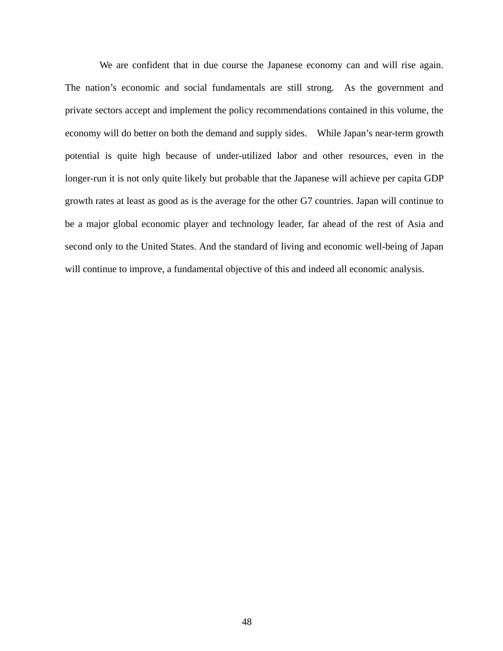We are confident that in due course the Japanese economy can and will rise again. The nation's economic and social fundamentals are still strong. As the government and private sectors accept and implement the policy recommendations contained in this volume, the economy will do better on both the demand and supply sides. While Japan's near-term growth potential is quite high because of under-utilized labor and other resources, even in the longer-run it is not only quite likely but probable that the Japanese will achieve per capita GDP growth rates at least as good as is the average for the other G7 countries. Japan will continue to be a major global economic player and technology leader, far ahead of the rest of Asia and second only to the United States. And the standard of living and economic well-being of Japan will continue to improve, a fundamental objective of this and indeed all economic analysis.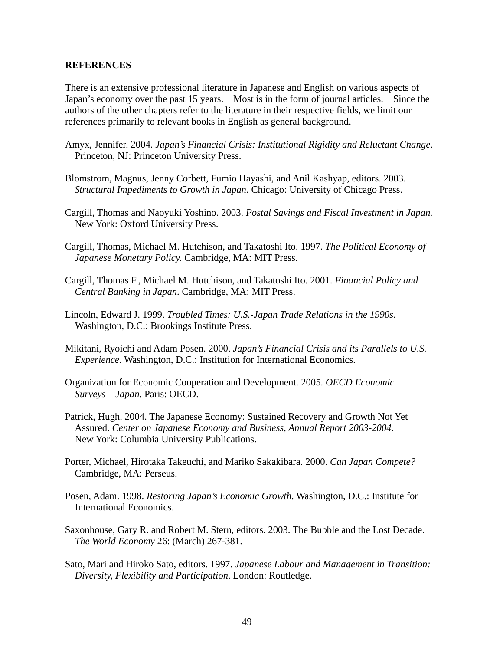# **REFERENCES**

There is an extensive professional literature in Japanese and English on various aspects of Japan's economy over the past 15 years. Most is in the form of journal articles. Since the authors of the other chapters refer to the literature in their respective fields, we limit our references primarily to relevant books in English as general background.

- Amyx, Jennifer. 2004. *Japan's Financial Crisis: Institutional Rigidity and Reluctant Change*. Princeton, NJ: Princeton University Press.
- Blomstrom, Magnus, Jenny Corbett, Fumio Hayashi, and Anil Kashyap, editors. 2003. *Structural Impediments to Growth in Japan.* Chicago: University of Chicago Press.
- Cargill, Thomas and Naoyuki Yoshino. 2003. *Postal Savings and Fiscal Investment in Japan.*  New York: Oxford University Press.
- Cargill, Thomas, Michael M. Hutchison, and Takatoshi Ito. 1997. *The Political Economy of Japanese Monetary Policy.* Cambridge, MA: MIT Press.
- Cargill, Thomas F., Michael M. Hutchison, and Takatoshi Ito. 2001. *Financial Policy and Central Banking in Japan*. Cambridge, MA: MIT Press.
- Lincoln, Edward J. 1999. *Troubled Times: U.S.-Japan Trade Relations in the 1990s*. Washington, D.C.: Brookings Institute Press.
- Mikitani, Ryoichi and Adam Posen. 2000. *Japan's Financial Crisis and its Parallels to U.S. Experience*. Washington, D.C.: Institution for International Economics.
- Organization for Economic Cooperation and Development. 2005. *OECD Economic Surveys – Japan*. Paris: OECD.
- Patrick, Hugh. 2004. The Japanese Economy: Sustained Recovery and Growth Not Yet Assured. *Center on Japanese Economy and Business*, *Annual Report 2003-2004*. New York: Columbia University Publications.
- Porter, Michael, Hirotaka Takeuchi, and Mariko Sakakibara. 2000. *Can Japan Compete?*  Cambridge, MA: Perseus.
- Posen, Adam. 1998. *Restoring Japan's Economic Growth*. Washington, D.C.: Institute for International Economics.
- Saxonhouse, Gary R. and Robert M. Stern, editors. 2003. The Bubble and the Lost Decade. *The World Economy* 26: (March) 267-381.
- Sato, Mari and Hiroko Sato, editors. 1997. *Japanese Labour and Management in Transition: Diversity, Flexibility and Participation*. London: Routledge.